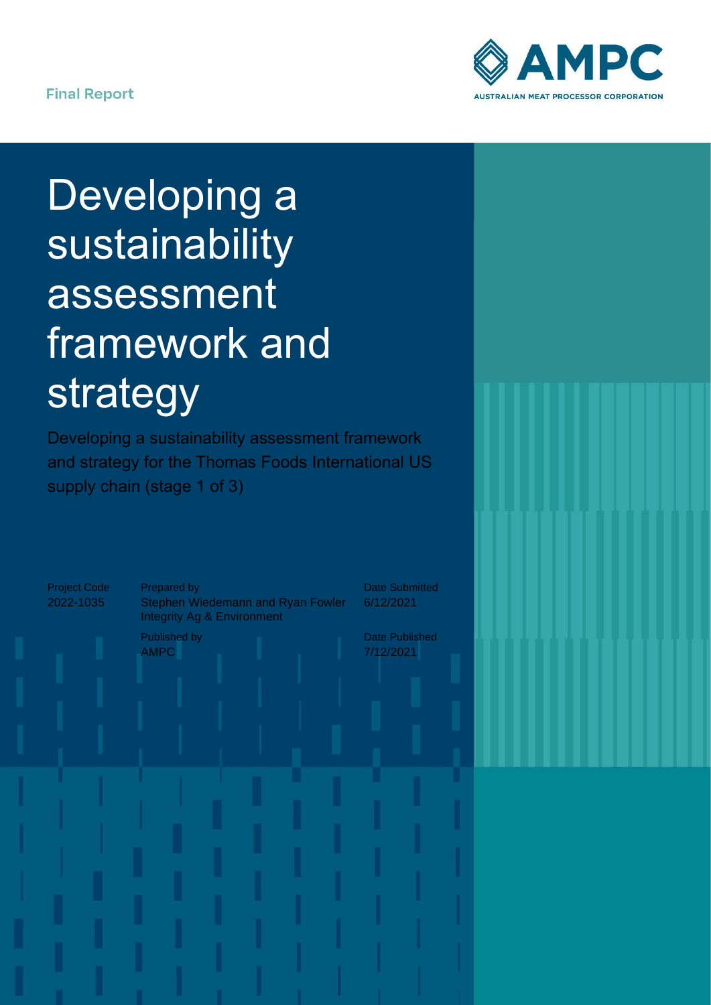

# Developing a sustainability assessment framework and strategy

Developing a sustainability assessment framework and strategy for the Thomas Foods International US supply chain (stage 1 of 3)

Project Code 2022-1035

Prepared by Stephen Wiedemann and Ryan Fowler Integrity Ag & Environment

Published by AMPC

Date Submitted 6/12/2021

Date Published 7/12/2021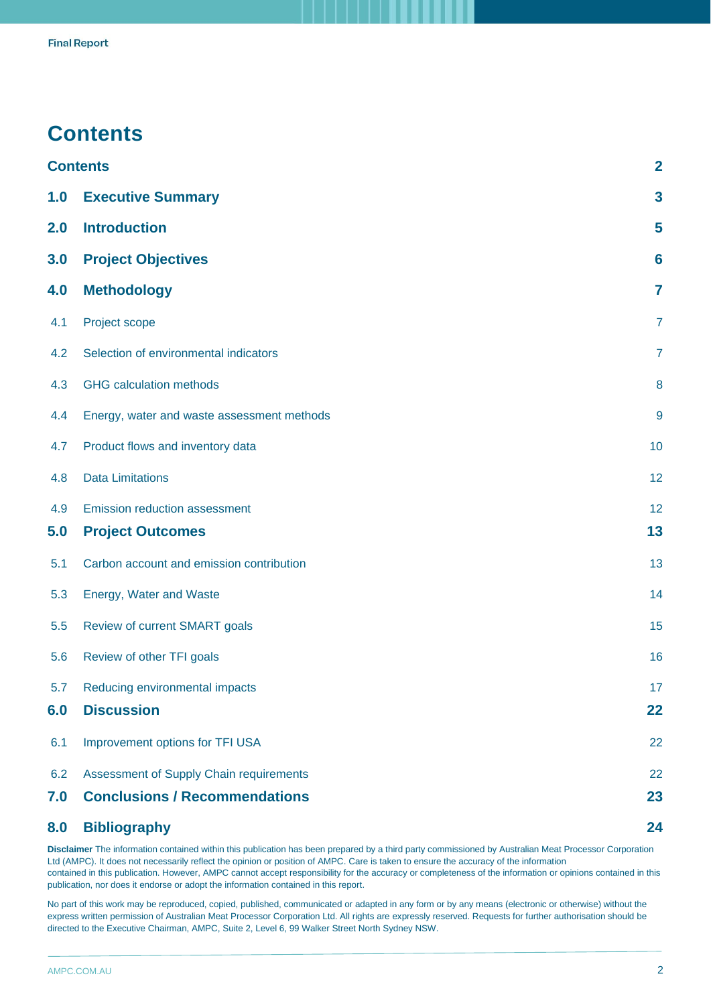# <span id="page-1-0"></span>**Contents**

|     | <b>Contents</b>                            | $\overline{2}$ |
|-----|--------------------------------------------|----------------|
| 1.0 | <b>Executive Summary</b>                   | $\mathbf{3}$   |
| 2.0 | <b>Introduction</b>                        | 5              |
| 3.0 | <b>Project Objectives</b>                  | 6              |
| 4.0 | <b>Methodology</b>                         | 7              |
| 4.1 | Project scope                              | $\overline{7}$ |
| 4.2 | Selection of environmental indicators      | $\overline{7}$ |
| 4.3 | <b>GHG</b> calculation methods             | 8              |
| 4.4 | Energy, water and waste assessment methods | 9              |
| 4.7 | Product flows and inventory data           | 10             |
| 4.8 | <b>Data Limitations</b>                    | 12             |
| 4.9 | Emission reduction assessment              | 12             |
| 5.0 | <b>Project Outcomes</b>                    | 13             |
| 5.1 | Carbon account and emission contribution   | 13             |
| 5.3 | Energy, Water and Waste                    | 14             |
| 5.5 | Review of current SMART goals              | 15             |
| 5.6 | Review of other TFI goals                  | 16             |
| 5.7 | Reducing environmental impacts             | 17             |
| 6.0 | <b>Discussion</b>                          | 22             |
| 6.1 | Improvement options for TFI USA            | 22             |
| 6.2 | Assessment of Supply Chain requirements    | 22             |
| 7.0 | <b>Conclusions / Recommendations</b>       | 23             |
| 8.0 | <b>Bibliography</b>                        | 24             |

**Disclaimer** [The information contained within this publication has been prepared by a third party commissioned by Australian Meat Processor Corporation](#page-23-0)  Ltd (AMPC). It does not necessarily reflect the opinion or position of AMPC. Care is taken to ensure the accuracy of the information contained in this publication. However, AMPC cannot accept responsibility for the accuracy or completeness of the information or opinions contained in this publication, nor does it endorse or adopt the information contained in this report.

No part of this work may be reproduced, copied, published, communicated or adapted in any form or by any means (electronic or otherwise) without the express written permission of Australian Meat Processor Corporation Ltd. All rights are expressly reserved. Requests for further authorisation should be directed to the Executive Chairman, AMPC, Suite 2, Level 6, 99 Walker Street North Sydney NSW.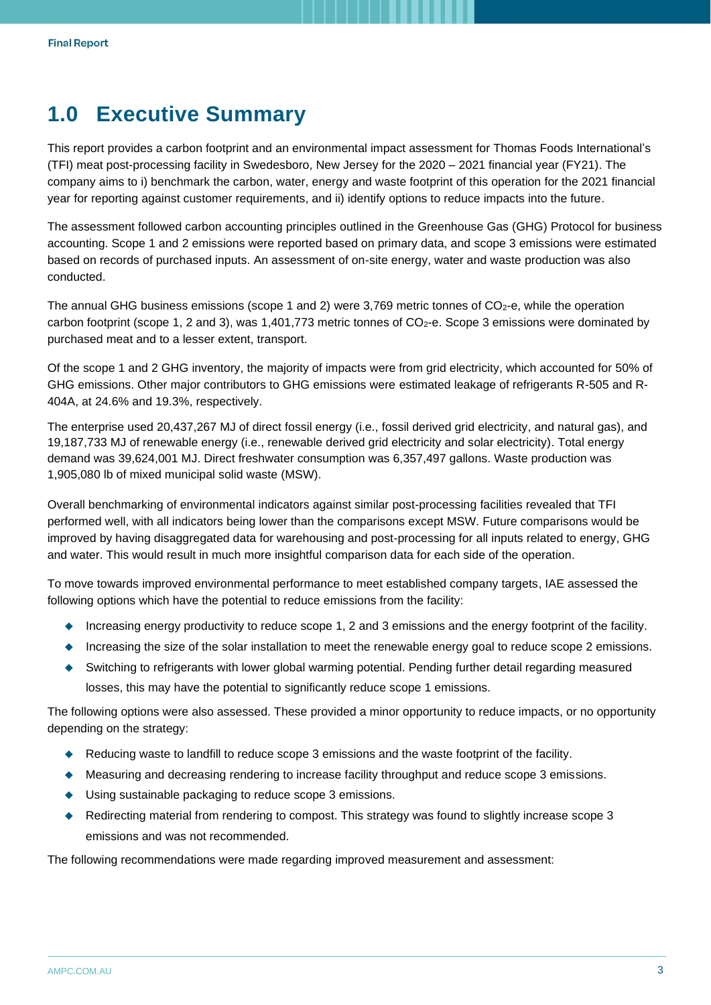# <span id="page-2-0"></span>**1.0 Executive Summary**

This report provides a carbon footprint and an environmental impact assessment for Thomas Foods International's (TFI) meat post-processing facility in Swedesboro, New Jersey for the 2020 – 2021 financial year (FY21). The company aims to i) benchmark the carbon, water, energy and waste footprint of this operation for the 2021 financial year for reporting against customer requirements, and ii) identify options to reduce impacts into the future.

The assessment followed carbon accounting principles outlined in the Greenhouse Gas (GHG) Protocol for business accounting. Scope 1 and 2 emissions were reported based on primary data, and scope 3 emissions were estimated based on records of purchased inputs. An assessment of on-site energy, water and waste production was also conducted.

The annual GHG business emissions (scope 1 and 2) were 3,769 metric tonnes of  $CO<sub>2</sub>$ -e, while the operation carbon footprint (scope 1, 2 and 3), was 1,401,773 metric tonnes of CO<sub>2</sub>-e. Scope 3 emissions were dominated by purchased meat and to a lesser extent, transport.

Of the scope 1 and 2 GHG inventory, the majority of impacts were from grid electricity, which accounted for 50% of GHG emissions. Other major contributors to GHG emissions were estimated leakage of refrigerants R-505 and R-404A, at 24.6% and 19.3%, respectively.

The enterprise used 20,437,267 MJ of direct fossil energy (i.e., fossil derived grid electricity, and natural gas), and 19,187,733 MJ of renewable energy (i.e., renewable derived grid electricity and solar electricity). Total energy demand was 39,624,001 MJ. Direct freshwater consumption was 6,357,497 gallons. Waste production was 1,905,080 lb of mixed municipal solid waste (MSW).

Overall benchmarking of environmental indicators against similar post-processing facilities revealed that TFI performed well, with all indicators being lower than the comparisons except MSW. Future comparisons would be improved by having disaggregated data for warehousing and post-processing for all inputs related to energy, GHG and water. This would result in much more insightful comparison data for each side of the operation.

To move towards improved environmental performance to meet established company targets, IAE assessed the following options which have the potential to reduce emissions from the facility:

- ◆ Increasing energy productivity to reduce scope 1, 2 and 3 emissions and the energy footprint of the facility.
- ◆ Increasing the size of the solar installation to meet the renewable energy goal to reduce scope 2 emissions.
- ◆ Switching to refrigerants with lower global warming potential. Pending further detail regarding measured losses, this may have the potential to significantly reduce scope 1 emissions.

The following options were also assessed. These provided a minor opportunity to reduce impacts, or no opportunity depending on the strategy:

- ◆ Reducing waste to landfill to reduce scope 3 emissions and the waste footprint of the facility.
- ◆ Measuring and decreasing rendering to increase facility throughput and reduce scope 3 emissions.
- ◆ Using sustainable packaging to reduce scope 3 emissions.
- Redirecting material from rendering to compost. This strategy was found to slightly increase scope 3 emissions and was not recommended.

The following recommendations were made regarding improved measurement and assessment: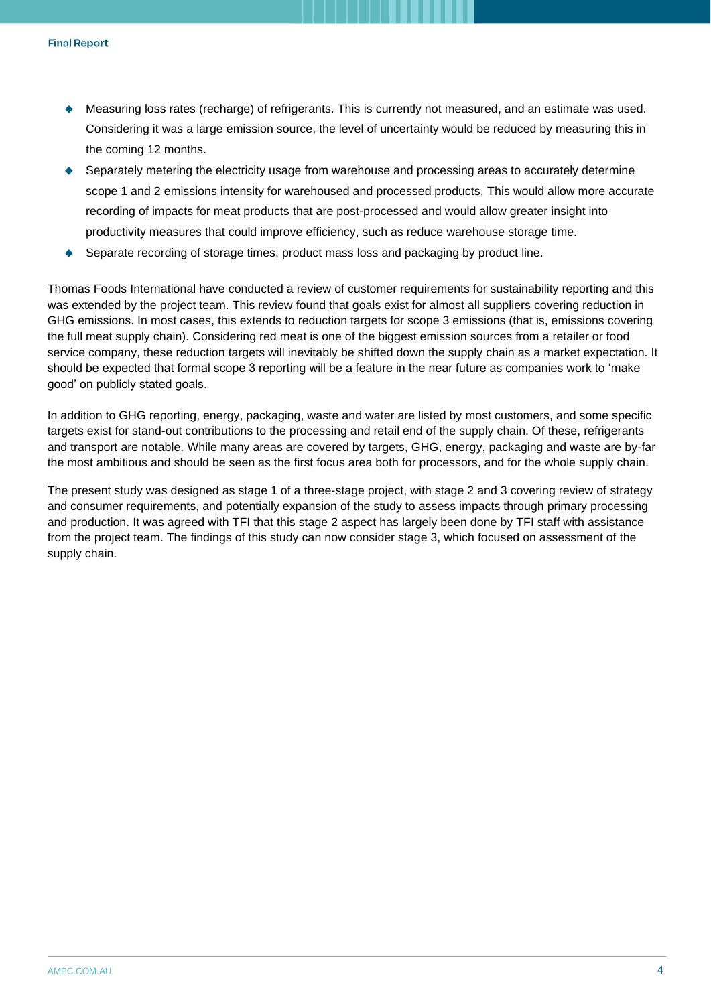- ◆ Measuring loss rates (recharge) of refrigerants. This is currently not measured, and an estimate was used. Considering it was a large emission source, the level of uncertainty would be reduced by measuring this in the coming 12 months.
- Separately metering the electricity usage from warehouse and processing areas to accurately determine scope 1 and 2 emissions intensity for warehoused and processed products. This would allow more accurate recording of impacts for meat products that are post-processed and would allow greater insight into productivity measures that could improve efficiency, such as reduce warehouse storage time.
- Separate recording of storage times, product mass loss and packaging by product line.

Thomas Foods International have conducted a review of customer requirements for sustainability reporting and this was extended by the project team. This review found that goals exist for almost all suppliers covering reduction in GHG emissions. In most cases, this extends to reduction targets for scope 3 emissions (that is, emissions covering the full meat supply chain). Considering red meat is one of the biggest emission sources from a retailer or food service company, these reduction targets will inevitably be shifted down the supply chain as a market expectation. It should be expected that formal scope 3 reporting will be a feature in the near future as companies work to 'make good' on publicly stated goals.

In addition to GHG reporting, energy, packaging, waste and water are listed by most customers, and some specific targets exist for stand-out contributions to the processing and retail end of the supply chain. Of these, refrigerants and transport are notable. While many areas are covered by targets, GHG, energy, packaging and waste are by-far the most ambitious and should be seen as the first focus area both for processors, and for the whole supply chain.

The present study was designed as stage 1 of a three-stage project, with stage 2 and 3 covering review of strategy and consumer requirements, and potentially expansion of the study to assess impacts through primary processing and production. It was agreed with TFI that this stage 2 aspect has largely been done by TFI staff with assistance from the project team. The findings of this study can now consider stage 3, which focused on assessment of the supply chain.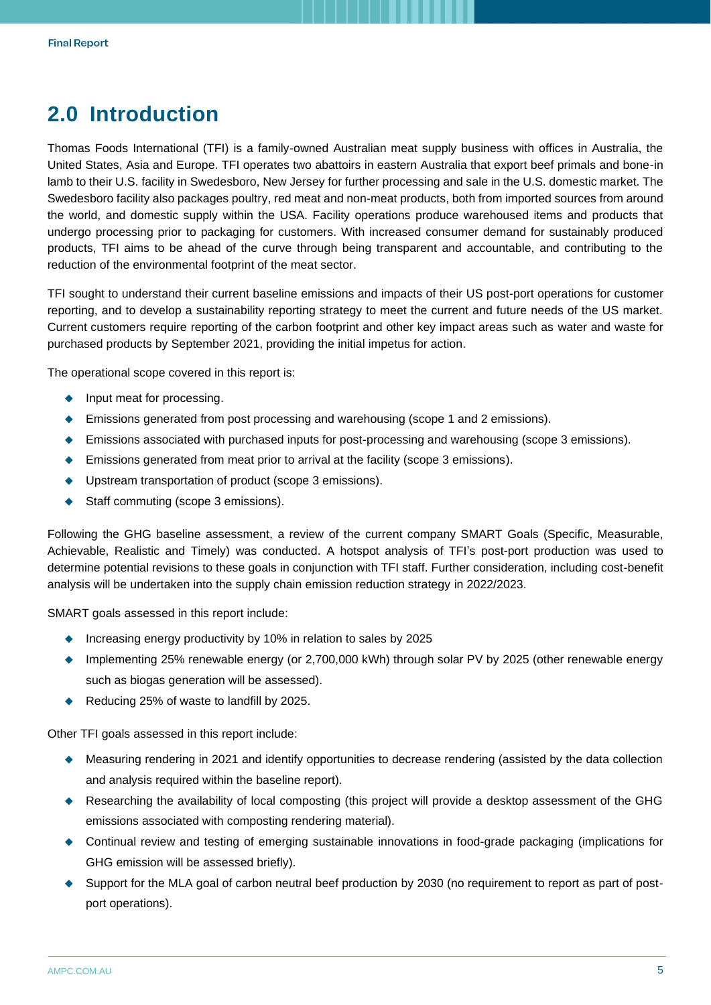# <span id="page-4-0"></span>**2.0 Introduction**

Thomas Foods International (TFI) is a family-owned Australian meat supply business with offices in Australia, the United States, Asia and Europe. TFI operates two abattoirs in eastern Australia that export beef primals and bone-in lamb to their U.S. facility in Swedesboro, New Jersey for further processing and sale in the U.S. domestic market. The Swedesboro facility also packages poultry, red meat and non-meat products, both from imported sources from around the world, and domestic supply within the USA. Facility operations produce warehoused items and products that undergo processing prior to packaging for customers. With increased consumer demand for sustainably produced products, TFI aims to be ahead of the curve through being transparent and accountable, and contributing to the reduction of the environmental footprint of the meat sector.

TFI sought to understand their current baseline emissions and impacts of their US post-port operations for customer reporting, and to develop a sustainability reporting strategy to meet the current and future needs of the US market. Current customers require reporting of the carbon footprint and other key impact areas such as water and waste for purchased products by September 2021, providing the initial impetus for action.

The operational scope covered in this report is:

- ◆ Input meat for processing.
- ◆ Emissions generated from post processing and warehousing (scope 1 and 2 emissions).
- ◆ Emissions associated with purchased inputs for post-processing and warehousing (scope 3 emissions).
- ◆ Emissions generated from meat prior to arrival at the facility (scope 3 emissions).
- ◆ Upstream transportation of product (scope 3 emissions).
- ◆ Staff commuting (scope 3 emissions).

Following the GHG baseline assessment, a review of the current company SMART Goals (Specific, Measurable, Achievable, Realistic and Timely) was conducted. A hotspot analysis of TFI's post-port production was used to determine potential revisions to these goals in conjunction with TFI staff. Further consideration, including cost-benefit analysis will be undertaken into the supply chain emission reduction strategy in 2022/2023.

SMART goals assessed in this report include:

- ◆ Increasing energy productivity by 10% in relation to sales by 2025
- ◆ Implementing 25% renewable energy (or 2,700,000 kWh) through solar PV by 2025 (other renewable energy such as biogas generation will be assessed).
- ◆ Reducing 25% of waste to landfill by 2025.

Other TFI goals assessed in this report include:

- ◆ Measuring rendering in 2021 and identify opportunities to decrease rendering (assisted by the data collection and analysis required within the baseline report).
- ◆ Researching the availability of local composting (this project will provide a desktop assessment of the GHG emissions associated with composting rendering material).
- ◆ Continual review and testing of emerging sustainable innovations in food-grade packaging (implications for GHG emission will be assessed briefly).
- ◆ Support for the MLA goal of carbon neutral beef production by 2030 (no requirement to report as part of postport operations).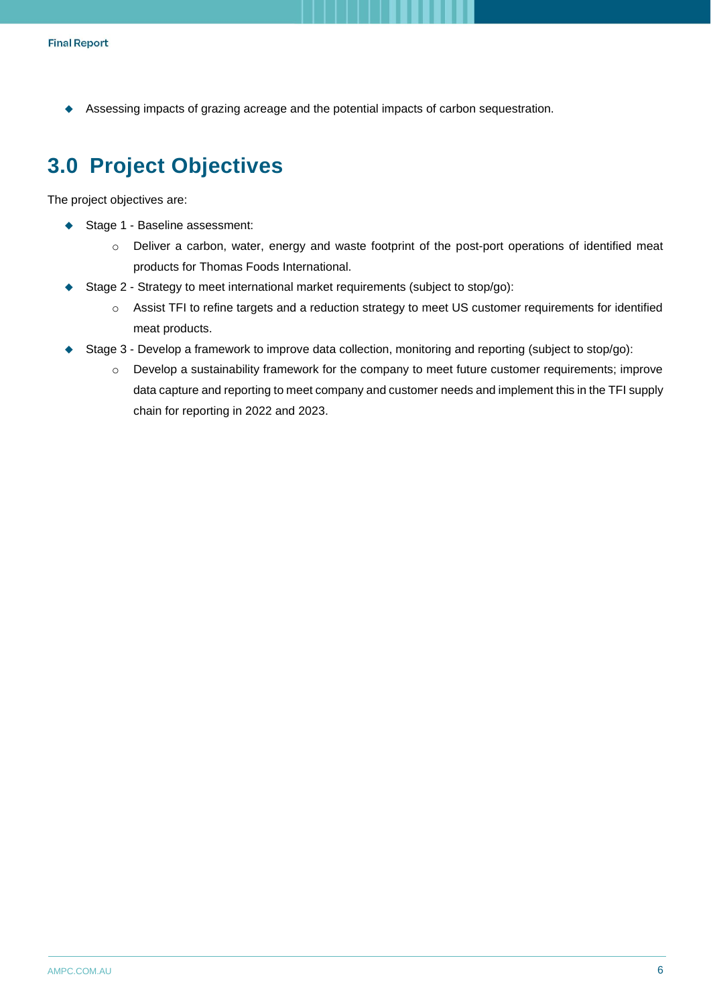◆ Assessing impacts of grazing acreage and the potential impacts of carbon sequestration.

# <span id="page-5-0"></span>**3.0 Project Objectives**

The project objectives are:

- ◆ Stage 1 Baseline assessment:
	- o Deliver a carbon, water, energy and waste footprint of the post-port operations of identified meat products for Thomas Foods International.
- Stage 2 Strategy to meet international market requirements (subject to stop/go):
	- o Assist TFI to refine targets and a reduction strategy to meet US customer requirements for identified meat products.
- Stage 3 Develop a framework to improve data collection, monitoring and reporting (subject to stop/go):
	- o Develop a sustainability framework for the company to meet future customer requirements; improve data capture and reporting to meet company and customer needs and implement this in the TFI supply chain for reporting in 2022 and 2023.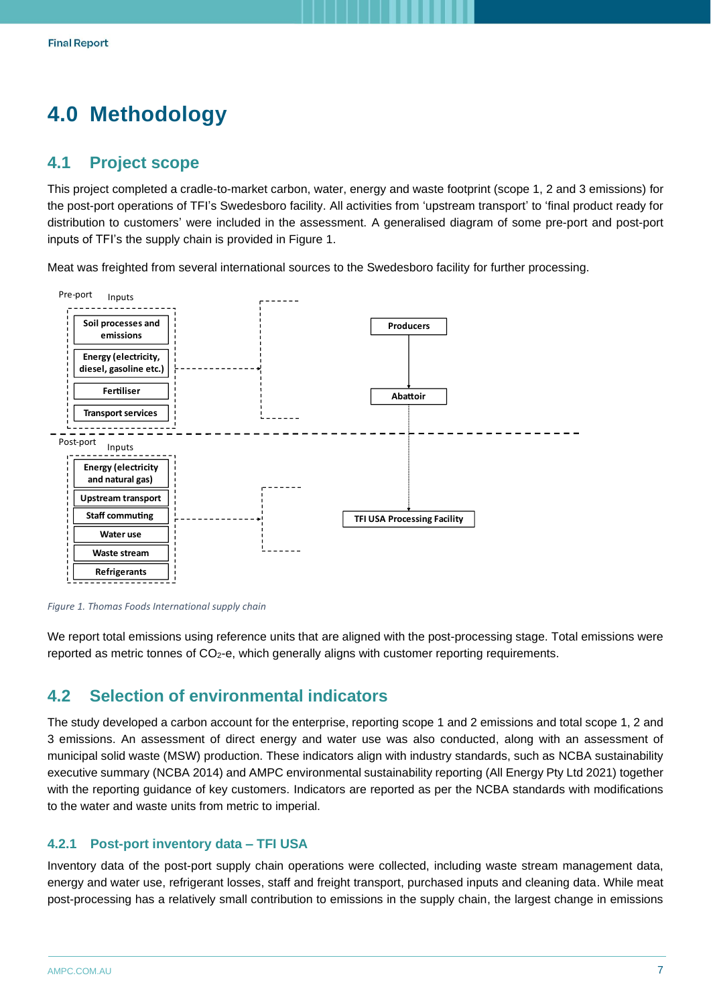# <span id="page-6-0"></span>**4.0 Methodology**

### <span id="page-6-1"></span>**4.1 Project scope**

This project completed a cradle-to-market carbon, water, energy and waste footprint (scope 1, 2 and 3 emissions) for the post-port operations of TFI's Swedesboro facility. All activities from 'upstream transport' to 'final product ready for distribution to customers' were included in the assessment. A generalised diagram of some pre-port and post-port inputs of TFI's the supply chain is provided in [Figure 1.](#page-6-3)

Meat was freighted from several international sources to the Swedesboro facility for further processing.



<span id="page-6-3"></span>*Figure 1. Thomas Foods International supply chain*

We report total emissions using reference units that are aligned with the post-processing stage. Total emissions were reported as metric tonnes of CO<sub>2</sub>-e, which generally aligns with customer reporting requirements.

# <span id="page-6-2"></span>**4.2 Selection of environmental indicators**

The study developed a carbon account for the enterprise, reporting scope 1 and 2 emissions and total scope 1, 2 and 3 emissions. An assessment of direct energy and water use was also conducted, along with an assessment of municipal solid waste (MSW) production. These indicators align with industry standards, such as NCBA sustainability executive summary (NCBA 2014) and AMPC environmental sustainability reporting (All Energy Pty Ltd 2021) together with the reporting guidance of key customers. Indicators are reported as per the NCBA standards with modifications to the water and waste units from metric to imperial.

#### **4.2.1 Post-port inventory data – TFI USA**

Inventory data of the post-port supply chain operations were collected, including waste stream management data, energy and water use, refrigerant losses, staff and freight transport, purchased inputs and cleaning data. While meat post-processing has a relatively small contribution to emissions in the supply chain, the largest change in emissions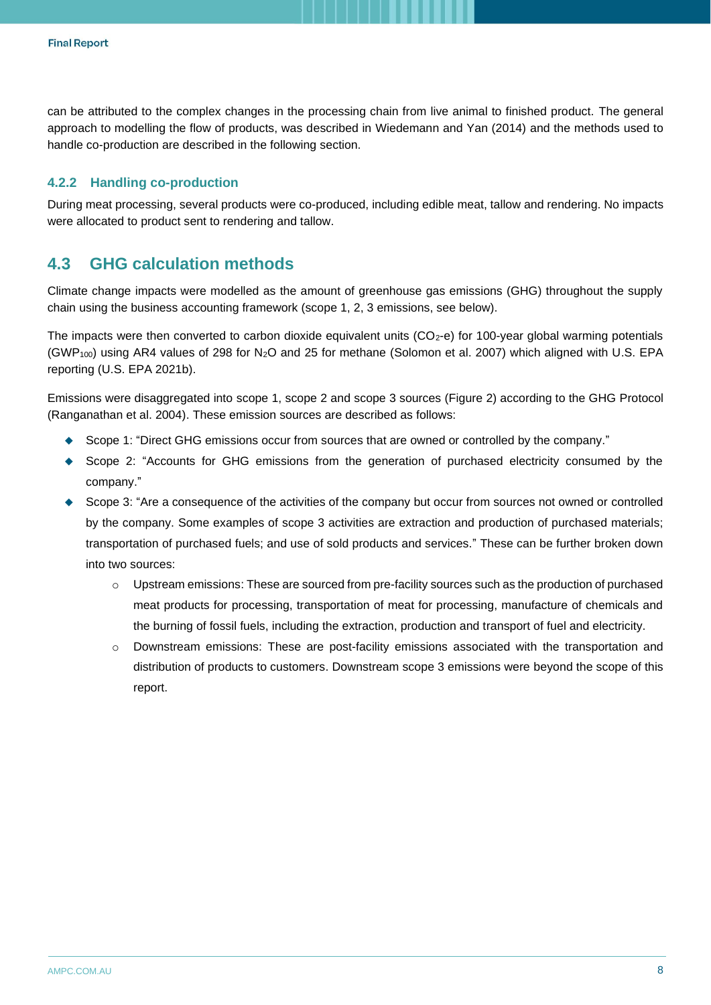can be attributed to the complex changes in the processing chain from live animal to finished product. The general approach to modelling the flow of products, was described in Wiedemann and Yan (2014) and the methods used to handle co-production are described in the following section.

#### **4.2.2 Handling co-production**

During meat processing, several products were co-produced, including edible meat, tallow and rendering. No impacts were allocated to product sent to rendering and tallow.

### <span id="page-7-0"></span>**4.3 GHG calculation methods**

Climate change impacts were modelled as the amount of greenhouse gas emissions (GHG) throughout the supply chain using the business accounting framework (scope 1, 2, 3 emissions, see below).

The impacts were then converted to carbon dioxide equivalent units  $(CO<sub>2</sub>-e)$  for 100-year global warming potentials (GWP100) using AR4 values of 298 for N2O and 25 for methane (Solomon et al. 2007) which aligned with U.S. EPA reporting (U.S. EPA 2021b).

Emissions were disaggregated into scope 1, scope 2 and scope 3 sources [\(Figure 2\)](#page-8-1) according to the GHG Protocol (Ranganathan et al. 2004). These emission sources are described as follows:

- ◆ Scope 1: "Direct GHG emissions occur from sources that are owned or controlled by the company."
- ◆ Scope 2: "Accounts for GHG emissions from the generation of purchased electricity consumed by the company."
- ◆ Scope 3: "Are a consequence of the activities of the company but occur from sources not owned or controlled by the company. Some examples of scope 3 activities are extraction and production of purchased materials; transportation of purchased fuels; and use of sold products and services." These can be further broken down into two sources:
	- $\circ$  Upstream emissions: These are sourced from pre-facility sources such as the production of purchased meat products for processing, transportation of meat for processing, manufacture of chemicals and the burning of fossil fuels, including the extraction, production and transport of fuel and electricity.
	- o Downstream emissions: These are post-facility emissions associated with the transportation and distribution of products to customers. Downstream scope 3 emissions were beyond the scope of this report.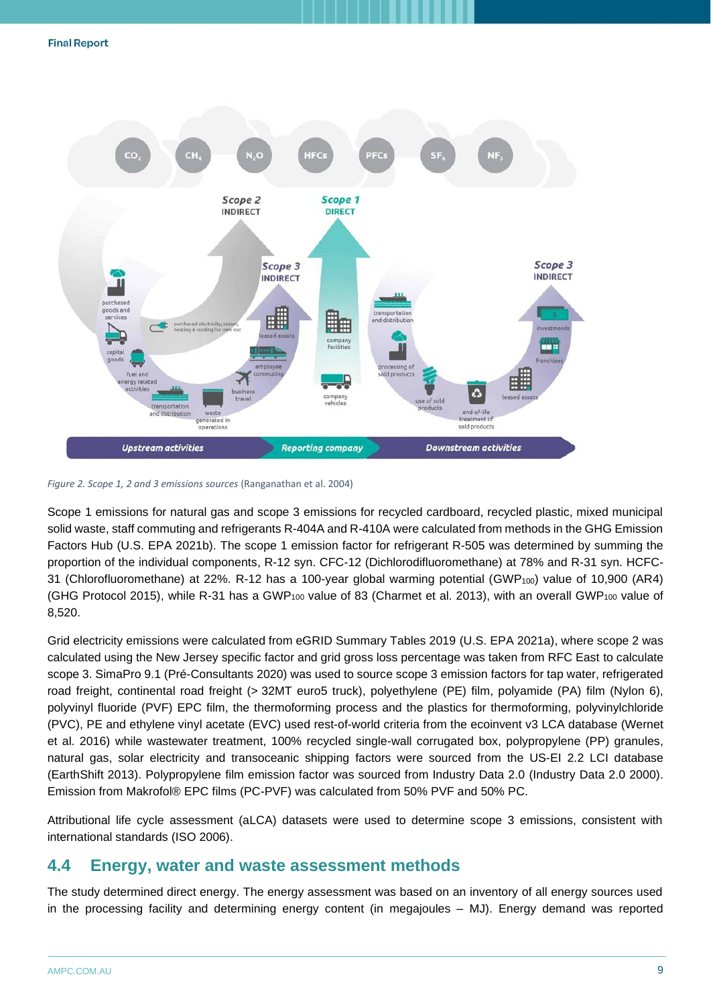

<span id="page-8-1"></span>*Figure 2. Scope 1, 2 and 3 emissions sources* (Ranganathan et al. 2004)

Scope 1 emissions for natural gas and scope 3 emissions for recycled cardboard, recycled plastic, mixed municipal solid waste, staff commuting and refrigerants R-404A and R-410A were calculated from methods in the GHG Emission Factors Hub (U.S. EPA 2021b). The scope 1 emission factor for refrigerant R-505 was determined by summing the proportion of the individual components, R-12 syn. CFC-12 (Dichlorodifluoromethane) at 78% and R-31 syn. HCFC-31 (Chlorofluoromethane) at 22%. R-12 has a 100-year global warming potential (GWP100) value of 10,900 (AR4) (GHG Protocol 2015), while R-31 has a GWP<sub>100</sub> value of 83 (Charmet et al. 2013), with an overall GWP<sub>100</sub> value of 8,520.

Grid electricity emissions were calculated from eGRID Summary Tables 2019 (U.S. EPA 2021a), where scope 2 was calculated using the New Jersey specific factor and grid gross loss percentage was taken from RFC East to calculate scope 3. SimaPro 9.1 (Pré-Consultants 2020) was used to source scope 3 emission factors for tap water, refrigerated road freight, continental road freight (> 32MT euro5 truck), polyethylene (PE) film, polyamide (PA) film (Nylon 6), polyvinyl fluoride (PVF) EPC film, the thermoforming process and the plastics for thermoforming, polyvinylchloride (PVC), PE and ethylene vinyl acetate (EVC) used rest-of-world criteria from the ecoinvent v3 LCA database (Wernet et al. 2016) while wastewater treatment, 100% recycled single-wall corrugated box, polypropylene (PP) granules, natural gas, solar electricity and transoceanic shipping factors were sourced from the US-EI 2.2 LCI database (EarthShift 2013). Polypropylene film emission factor was sourced from Industry Data 2.0 (Industry Data 2.0 2000). Emission from Makrofol® EPC films (PC-PVF) was calculated from 50% PVF and 50% PC.

Attributional life cycle assessment (aLCA) datasets were used to determine scope 3 emissions, consistent with international standards (ISO 2006).

### <span id="page-8-0"></span>**4.4 Energy, water and waste assessment methods**

The study determined direct energy. The energy assessment was based on an inventory of all energy sources used in the processing facility and determining energy content (in megajoules – MJ). Energy demand was reported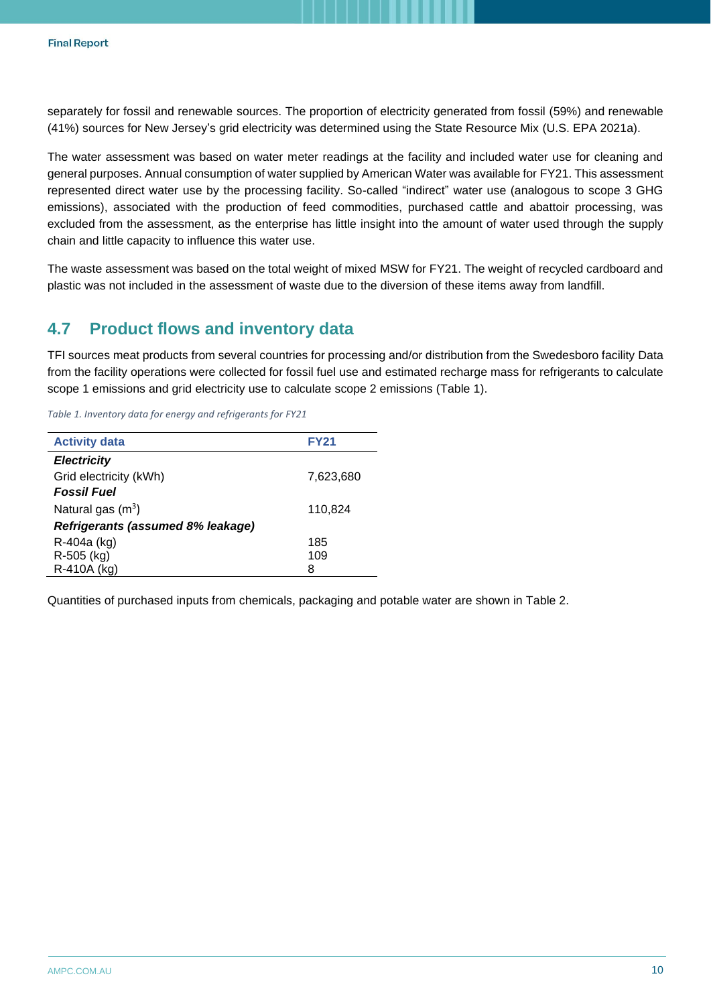separately for fossil and renewable sources. The proportion of electricity generated from fossil (59%) and renewable (41%) sources for New Jersey's grid electricity was determined using the State Resource Mix (U.S. EPA 2021a).

The water assessment was based on water meter readings at the facility and included water use for cleaning and general purposes. Annual consumption of water supplied by American Water was available for FY21. This assessment represented direct water use by the processing facility. So-called "indirect" water use (analogous to scope 3 GHG emissions), associated with the production of feed commodities, purchased cattle and abattoir processing, was excluded from the assessment, as the enterprise has little insight into the amount of water used through the supply chain and little capacity to influence this water use.

The waste assessment was based on the total weight of mixed MSW for FY21. The weight of recycled cardboard and plastic was not included in the assessment of waste due to the diversion of these items away from landfill.

# <span id="page-9-0"></span>**4.7 Product flows and inventory data**

TFI sources meat products from several countries for processing and/or distribution from the Swedesboro facility Data from the facility operations were collected for fossil fuel use and estimated recharge mass for refrigerants to calculate scope 1 emissions and grid electricity use to calculate scope 2 emissions [\(Table 1\)](#page-9-1).

<span id="page-9-1"></span>*Table 1. Inventory data for energy and refrigerants for FY21*

| <b>Activity data</b>              | <b>FY21</b> |
|-----------------------------------|-------------|
| <b>Electricity</b>                |             |
| Grid electricity (kWh)            | 7,623,680   |
| <b>Fossil Fuel</b>                |             |
| Natural gas $(m^3)$               | 110,824     |
| Refrigerants (assumed 8% leakage) |             |
| R-404a (kg)                       | 185         |
| R-505 (kg)                        | 109         |
| R-410A (kg)                       | 8           |

Quantities of purchased inputs from chemicals, packaging and potable water are shown in [Table 2.](#page-10-0)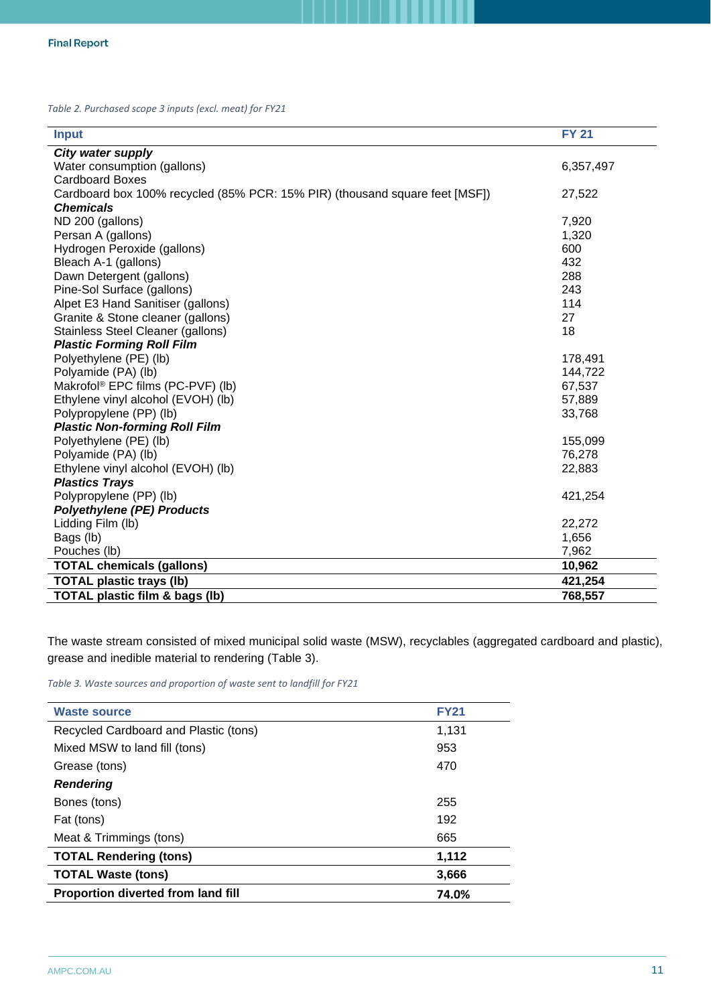<span id="page-10-0"></span>*Table 2. Purchased scope 3 inputs (excl. meat) for FY21*

| <b>Input</b>                                                                | <b>FY 21</b> |
|-----------------------------------------------------------------------------|--------------|
| City water supply                                                           |              |
| Water consumption (gallons)                                                 | 6,357,497    |
| <b>Cardboard Boxes</b>                                                      |              |
| Cardboard box 100% recycled (85% PCR: 15% PIR) (thousand square feet [MSF]) | 27,522       |
| <b>Chemicals</b>                                                            |              |
| ND 200 (gallons)                                                            | 7,920        |
| Persan A (gallons)                                                          | 1,320        |
| Hydrogen Peroxide (gallons)                                                 | 600          |
| Bleach A-1 (gallons)                                                        | 432          |
| Dawn Detergent (gallons)                                                    | 288          |
| Pine-Sol Surface (gallons)                                                  | 243          |
| Alpet E3 Hand Sanitiser (gallons)                                           | 114          |
| Granite & Stone cleaner (gallons)                                           | 27           |
| Stainless Steel Cleaner (gallons)                                           | 18           |
| <b>Plastic Forming Roll Film</b>                                            |              |
| Polyethylene (PE) (lb)                                                      | 178,491      |
| Polyamide (PA) (lb)                                                         | 144,722      |
| Makrofol <sup>®</sup> EPC films (PC-PVF) (lb)                               | 67,537       |
| Ethylene vinyl alcohol (EVOH) (lb)                                          | 57,889       |
| Polypropylene (PP) (lb)                                                     | 33,768       |
| <b>Plastic Non-forming Roll Film</b>                                        |              |
| Polyethylene (PE) (lb)                                                      | 155,099      |
| Polyamide (PA) (lb)                                                         | 76,278       |
| Ethylene vinyl alcohol (EVOH) (lb)                                          | 22,883       |
| <b>Plastics Trays</b>                                                       |              |
| Polypropylene (PP) (lb)                                                     | 421,254      |
| <b>Polyethylene (PE) Products</b>                                           |              |
| Lidding Film (lb)                                                           | 22,272       |
| Bags (lb)                                                                   | 1,656        |
| Pouches (lb)                                                                | 7,962        |
| <b>TOTAL chemicals (gallons)</b>                                            | 10,962       |
| <b>TOTAL plastic trays (lb)</b>                                             | 421,254      |
| <b>TOTAL plastic film &amp; bags (lb)</b>                                   | 768,557      |

The waste stream consisted of mixed municipal solid waste (MSW), recyclables (aggregated cardboard and plastic), grease and inedible material to rendering [\(Table 3\)](#page-10-1).

<span id="page-10-1"></span>*Table 3. Waste sources and proportion of waste sent to landfill for FY21*

| <b>Waste source</b>                       | <b>FY21</b> |
|-------------------------------------------|-------------|
| Recycled Cardboard and Plastic (tons)     | 1,131       |
| Mixed MSW to land fill (tons)             | 953         |
| Grease (tons)                             | 470         |
| <b>Rendering</b>                          |             |
| Bones (tons)                              | 255         |
| Fat (tons)                                | 192         |
| Meat & Trimmings (tons)                   | 665         |
| <b>TOTAL Rendering (tons)</b>             | 1,112       |
| <b>TOTAL Waste (tons)</b>                 | 3,666       |
| <b>Proportion diverted from land fill</b> | 74.0%       |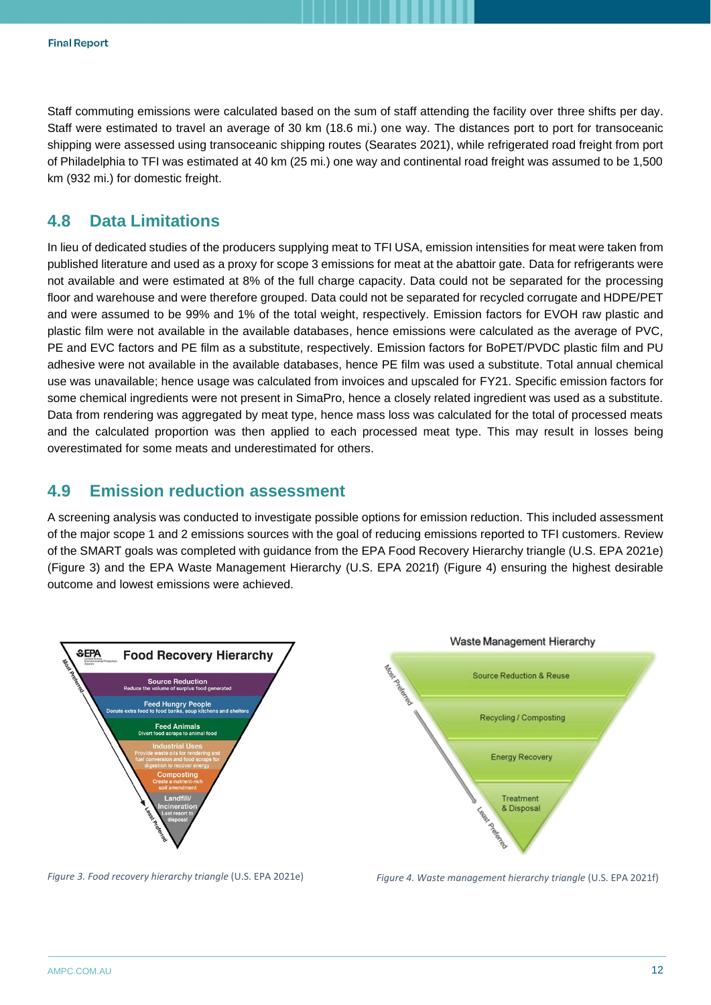Staff commuting emissions were calculated based on the sum of staff attending the facility over three shifts per day. Staff were estimated to travel an average of 30 km (18.6 mi.) one way. The distances port to port for transoceanic shipping were assessed using transoceanic shipping routes (Searates 2021), while refrigerated road freight from port of Philadelphia to TFI was estimated at 40 km (25 mi.) one way and continental road freight was assumed to be 1,500 km (932 mi.) for domestic freight.

# <span id="page-11-0"></span>**4.8 Data Limitations**

In lieu of dedicated studies of the producers supplying meat to TFI USA, emission intensities for meat were taken from published literature and used as a proxy for scope 3 emissions for meat at the abattoir gate. Data for refrigerants were not available and were estimated at 8% of the full charge capacity. Data could not be separated for the processing floor and warehouse and were therefore grouped. Data could not be separated for recycled corrugate and HDPE/PET and were assumed to be 99% and 1% of the total weight, respectively. Emission factors for EVOH raw plastic and plastic film were not available in the available databases, hence emissions were calculated as the average of PVC, PE and EVC factors and PE film as a substitute, respectively. Emission factors for BoPET/PVDC plastic film and PU adhesive were not available in the available databases, hence PE film was used a substitute. Total annual chemical use was unavailable; hence usage was calculated from invoices and upscaled for FY21. Specific emission factors for some chemical ingredients were not present in SimaPro, hence a closely related ingredient was used as a substitute. Data from rendering was aggregated by meat type, hence mass loss was calculated for the total of processed meats and the calculated proportion was then applied to each processed meat type. This may result in losses being overestimated for some meats and underestimated for others.

## <span id="page-11-1"></span>**4.9 Emission reduction assessment**

A screening analysis was conducted to investigate possible options for emission reduction. This included assessment of the major scope 1 and 2 emissions sources with the goal of reducing emissions reported to TFI customers. Review of the SMART goals was completed with guidance from the EPA Food Recovery Hierarchy triangle (U.S. EPA 2021e) [\(Figure 3\)](#page-11-2) and the EPA Waste Management Hierarchy (U.S. EPA 2021f) [\(Figure 4\)](#page-11-3) ensuring the highest desirable outcome and lowest emissions were achieved.



<span id="page-11-2"></span>

<span id="page-11-3"></span>*Figure 3. Food recovery hierarchy triangle* (U.S. EPA 2021e) *Figure 4. Waste management hierarchy triangle* (U.S. EPA 2021f)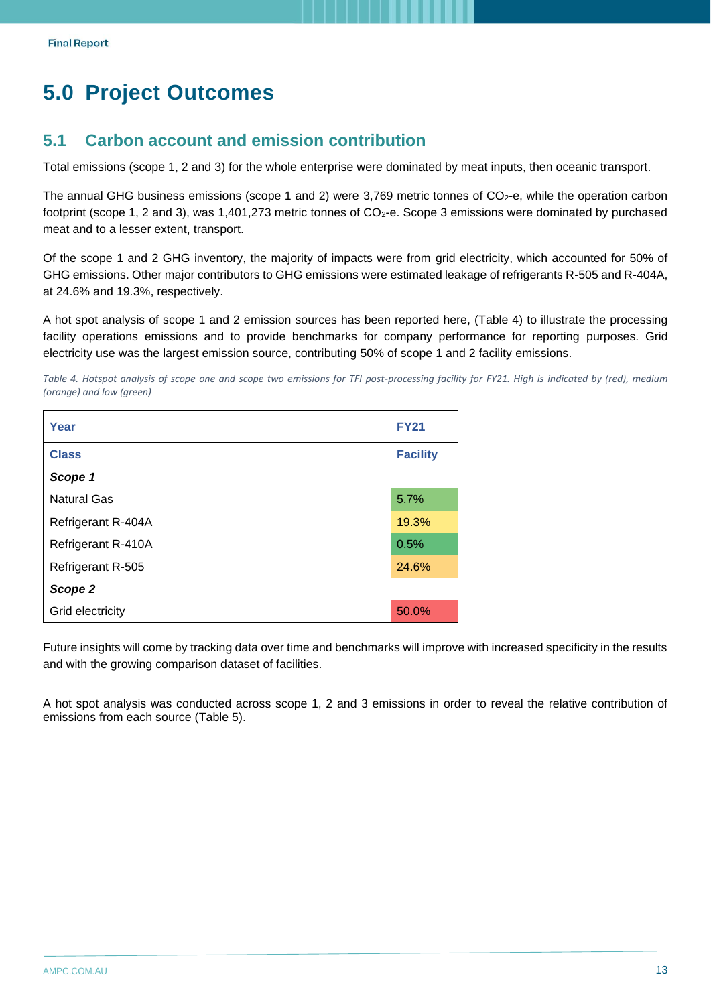# <span id="page-12-0"></span>**5.0 Project Outcomes**

## <span id="page-12-1"></span>**5.1 Carbon account and emission contribution**

Total emissions (scope 1, 2 and 3) for the whole enterprise were dominated by meat inputs, then oceanic transport.

The annual GHG business emissions (scope 1 and 2) were 3,769 metric tonnes of  $CO<sub>2</sub>$ -e, while the operation carbon footprint (scope 1, 2 and 3), was 1,401,273 metric tonnes of  $CO<sub>2</sub>$ -e. Scope 3 emissions were dominated by purchased meat and to a lesser extent, transport.

Of the scope 1 and 2 GHG inventory, the majority of impacts were from grid electricity, which accounted for 50% of GHG emissions. Other major contributors to GHG emissions were estimated leakage of refrigerants R-505 and R-404A, at 24.6% and 19.3%, respectively.

A hot spot analysis of scope 1 and 2 emission sources has been reported here, [\(Table 4\)](#page-12-2) to illustrate the processing facility operations emissions and to provide benchmarks for company performance for reporting purposes. Grid electricity use was the largest emission source, contributing 50% of scope 1 and 2 facility emissions.

<span id="page-12-2"></span>*Table 4. Hotspot analysis of scope one and scope two emissions for TFI post-processing facility for FY21. High is indicated by (red), medium (orange) and low (green)*

| Year               | <b>FY21</b>     |  |  |  |
|--------------------|-----------------|--|--|--|
| <b>Class</b>       | <b>Facility</b> |  |  |  |
| Scope 1            |                 |  |  |  |
| <b>Natural Gas</b> | 5.7%            |  |  |  |
| Refrigerant R-404A | 19.3%           |  |  |  |
| Refrigerant R-410A | 0.5%            |  |  |  |
| Refrigerant R-505  | 24.6%           |  |  |  |
| Scope 2            |                 |  |  |  |
| Grid electricity   | 50.0%           |  |  |  |

Future insights will come by tracking data over time and benchmarks will improve with increased specificity in the results and with the growing comparison dataset of facilities.

A hot spot analysis was conducted across scope 1, 2 and 3 emissions in order to reveal the relative contribution of emissions from each source [\(Table 5\)](#page-13-1).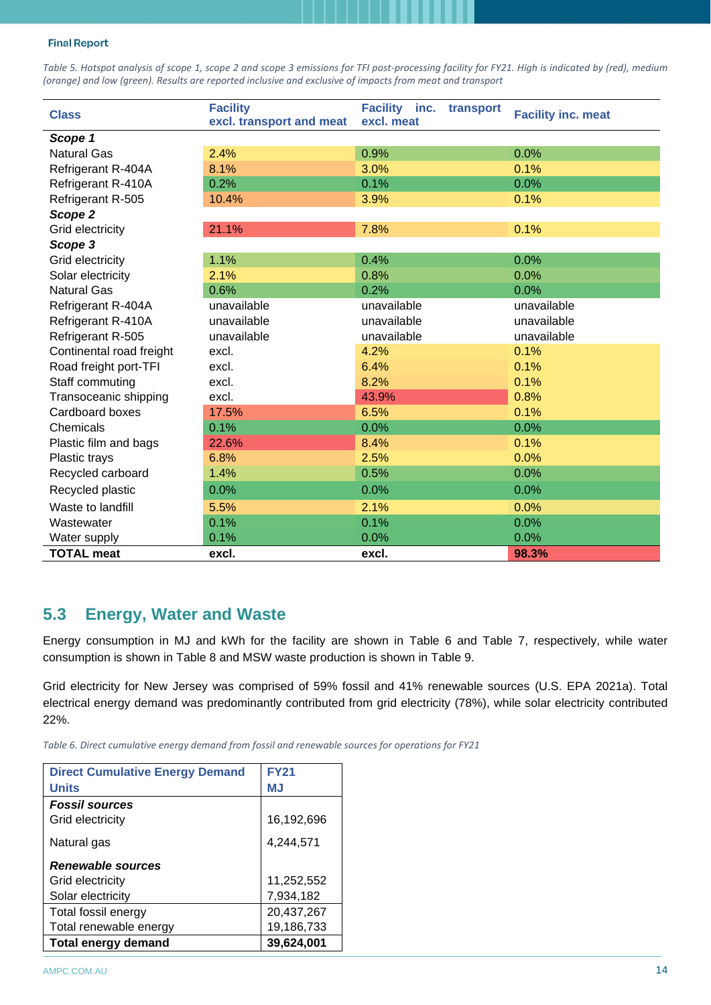<span id="page-13-1"></span>*Table 5. Hotspot analysis of scope 1, scope 2 and scope 3 emissions for TFI post-processing facility for FY21. High is indicated by (red), medium (orange) and low (green). Results are reported inclusive and exclusive of impacts from meat and transport*

| <b>Class</b>                      | <b>Facility</b><br>excl. transport and meat | Facility inc.<br>transport<br>excl. meat | <b>Facility inc. meat</b> |
|-----------------------------------|---------------------------------------------|------------------------------------------|---------------------------|
| Scope 1                           |                                             |                                          |                           |
| <b>Natural Gas</b>                | 2.4%                                        | 0.9%                                     | 0.0%                      |
| Refrigerant R-404A                | 8.1%                                        | 3.0%                                     | 0.1%                      |
| Refrigerant R-410A                | 0.2%                                        | 0.1%                                     | 0.0%                      |
| Refrigerant R-505                 | 10.4%                                       | 3.9%                                     | 0.1%                      |
| Scope 2                           |                                             |                                          |                           |
| Grid electricity                  | 21.1%                                       | 7.8%                                     | 0.1%                      |
| Scope 3                           |                                             |                                          |                           |
| Grid electricity                  | 1.1%                                        | 0.4%                                     | 0.0%                      |
| Solar electricity                 | 2.1%                                        | 0.8%                                     | 0.0%                      |
| <b>Natural Gas</b>                | 0.6%                                        | 0.2%                                     | 0.0%                      |
| Refrigerant R-404A                | unavailable                                 | unavailable                              | unavailable               |
| Refrigerant R-410A                | unavailable                                 | unavailable                              | unavailable               |
| Refrigerant R-505                 | unavailable                                 | unavailable                              | unavailable               |
| Continental road freight<br>excl. |                                             | 4.2%                                     | 0.1%                      |
| Road freight port-TFI             | excl.                                       | 6.4%                                     | 0.1%                      |
| Staff commuting                   | excl.                                       | 8.2%                                     | 0.1%                      |
| Transoceanic shipping             | excl.                                       | 43.9%                                    | 0.8%                      |
| Cardboard boxes                   | 17.5%                                       | 6.5%                                     | 0.1%                      |
| Chemicals                         | 0.1%                                        | 0.0%                                     | 0.0%                      |
| Plastic film and bags             | 22.6%                                       | 8.4%                                     | 0.1%                      |
| Plastic trays                     | 6.8%                                        | 2.5%                                     | 0.0%                      |
| Recycled carboard                 | 1.4%                                        | 0.5%                                     | 0.0%                      |
| Recycled plastic                  | 0.0%                                        | 0.0%                                     | 0.0%                      |
| Waste to landfill                 | 5.5%                                        | 2.1%                                     | 0.0%                      |
| 0.1%<br>Wastewater                |                                             | 0.1%                                     | 0.0%                      |
| Water supply                      | 0.1%                                        | 0.0%                                     | 0.0%                      |
| <b>TOTAL meat</b>                 | excl.                                       | excl.                                    | 98.3%                     |

### <span id="page-13-0"></span>**5.3 Energy, Water and Waste**

Energy consumption in MJ and kWh for the facility are shown in [Table 6](#page-13-2) and [Table 7,](#page-14-1) respectively, while water consumption is shown in [Table 8](#page-14-2) and MSW waste production is shown in [Table 9.](#page-14-3)

Grid electricity for New Jersey was comprised of 59% fossil and 41% renewable sources (U.S. EPA 2021a). Total electrical energy demand was predominantly contributed from grid electricity (78%), while solar electricity contributed 22%.

<span id="page-13-2"></span>*Table 6. Direct cumulative energy demand from fossil and renewable sources for operations for FY21*

| <b>Direct Cumulative Energy Demand</b> | <b>FY21</b> |
|----------------------------------------|-------------|
| <b>Units</b>                           | <b>MJ</b>   |
| <b>Fossil sources</b>                  |             |
| Grid electricity                       | 16,192,696  |
| Natural gas                            | 4,244,571   |
| Renewable sources                      |             |
| Grid electricity                       | 11,252,552  |
| Solar electricity                      | 7,934,182   |
| Total fossil energy                    | 20,437,267  |
| Total renewable energy                 | 19,186,733  |
| <b>Total energy demand</b>             | 39,624,001  |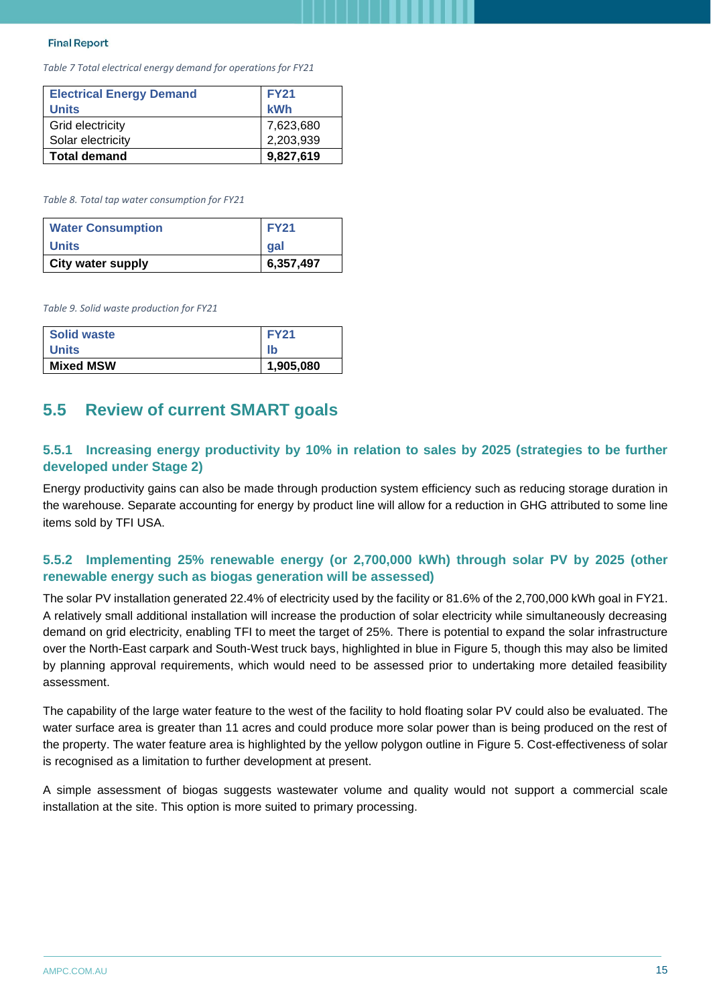<span id="page-14-1"></span>*Table 7 Total electrical energy demand for operations for FY21*

| <b>Electrical Energy Demand</b><br><b>Units</b> | <b>FY21</b><br>kWh |
|-------------------------------------------------|--------------------|
| Grid electricity                                | 7,623,680          |
| Solar electricity                               | 2,203,939          |
| <b>Total demand</b>                             | 9,827,619          |

<span id="page-14-2"></span>*Table 8. Total tap water consumption for FY21*

| <b>Water Consumption</b> | <b>FY21</b> |
|--------------------------|-------------|
| Units                    | gal         |
| <b>City water supply</b> | 6,357,497   |

<span id="page-14-3"></span>*Table 9. Solid waste production for FY21*

| Solid waste      | <b>FY21</b> |
|------------------|-------------|
| <b>Units</b>     | lb          |
| <b>Mixed MSW</b> | 1,905,080   |

# <span id="page-14-0"></span>**5.5 Review of current SMART goals**

#### **5.5.1 Increasing energy productivity by 10% in relation to sales by 2025 (strategies to be further developed under Stage 2)**

Energy productivity gains can also be made through production system efficiency such as reducing storage duration in the warehouse. Separate accounting for energy by product line will allow for a reduction in GHG attributed to some line items sold by TFI USA.

#### **5.5.2 Implementing 25% renewable energy (or 2,700,000 kWh) through solar PV by 2025 (other renewable energy such as biogas generation will be assessed)**

The solar PV installation generated 22.4% of electricity used by the facility or 81.6% of the 2,700,000 kWh goal in FY21. A relatively small additional installation will increase the production of solar electricity while simultaneously decreasing demand on grid electricity, enabling TFI to meet the target of 25%. There is potential to expand the solar infrastructure over the North-East carpark and South-West truck bays, highlighted in blue in [Figure 5,](#page-15-1) though this may also be limited by planning approval requirements, which would need to be assessed prior to undertaking more detailed feasibility assessment.

The capability of the large water feature to the west of the facility to hold floating solar PV could also be evaluated. The water surface area is greater than 11 acres and could produce more solar power than is being produced on the rest of the property. The water feature area is highlighted by the yellow polygon outline in [Figure 5.](#page-15-1) Cost-effectiveness of solar is recognised as a limitation to further development at present.

A simple assessment of biogas suggests wastewater volume and quality would not support a commercial scale installation at the site. This option is more suited to primary processing.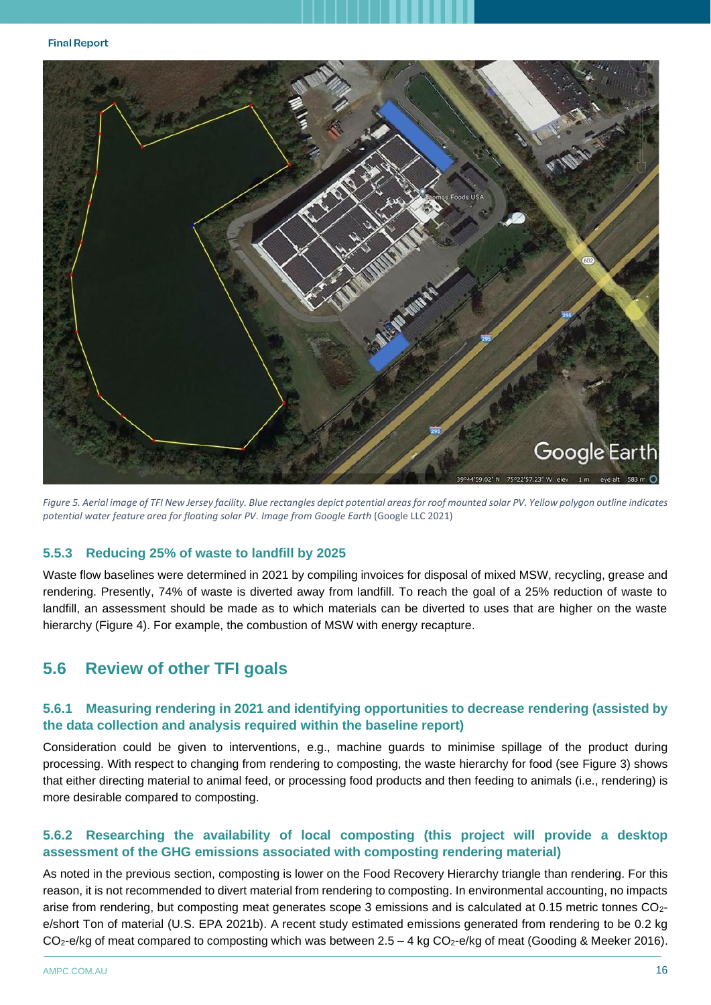

<span id="page-15-1"></span>*Figure 5. Aerial image of TFI New Jersey facility. Blue rectangles depict potential areas for roof mounted solar PV. Yellow polygon outline indicates potential water feature area for floating solar PV. Image from Google Earth* (Google LLC 2021)

#### **5.5.3 Reducing 25% of waste to landfill by 2025**

Waste flow baselines were determined in 2021 by compiling invoices for disposal of mixed MSW, recycling, grease and rendering. Presently, 74% of waste is diverted away from landfill. To reach the goal of a 25% reduction of waste to landfill, an assessment should be made as to which materials can be diverted to uses that are higher on the waste hierarchy [\(Figure 4\)](#page-11-3). For example, the combustion of MSW with energy recapture.

## <span id="page-15-0"></span>**5.6 Review of other TFI goals**

#### **5.6.1 Measuring rendering in 2021 and identifying opportunities to decrease rendering (assisted by the data collection and analysis required within the baseline report)**

Consideration could be given to interventions, e.g., machine guards to minimise spillage of the product during processing. With respect to changing from rendering to composting, the waste hierarchy for food (see [Figure 3\)](#page-11-2) shows that either directing material to animal feed, or processing food products and then feeding to animals (i.e., rendering) is more desirable compared to composting.

#### **5.6.2 Researching the availability of local composting (this project will provide a desktop assessment of the GHG emissions associated with composting rendering material)**

As noted in the previous section, composting is lower on the Food Recovery Hierarchy triangle than rendering. For this reason, it is not recommended to divert material from rendering to composting. In environmental accounting, no impacts arise from rendering, but composting meat generates scope 3 emissions and is calculated at 0.15 metric tonnes CO2 e/short Ton of material (U.S. EPA 2021b). A recent study estimated emissions generated from rendering to be 0.2 kg  $CO<sub>2</sub>$ -e/kg of meat compared to composting which was between  $2.5 - 4$  kg  $CO<sub>2</sub>$ -e/kg of meat (Gooding & Meeker 2016).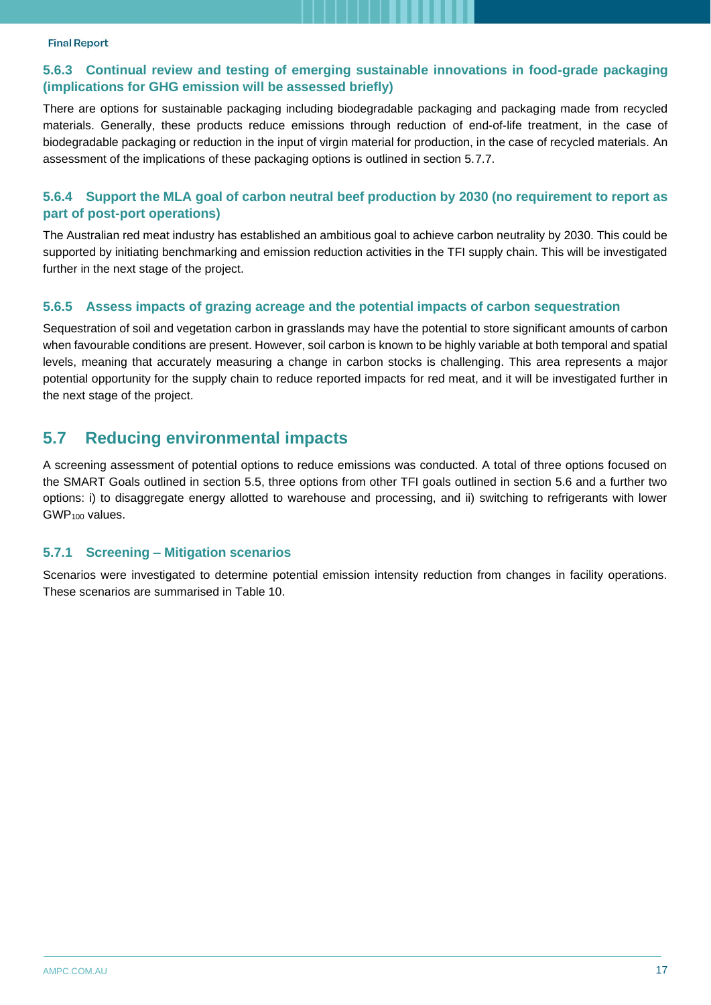#### **5.6.3 Continual review and testing of emerging sustainable innovations in food-grade packaging (implications for GHG emission will be assessed briefly)**

There are options for sustainable packaging including biodegradable packaging and packaging made from recycled materials. Generally, these products reduce emissions through reduction of end-of-life treatment, in the case of biodegradable packaging or reduction in the input of virgin material for production, in the case of recycled materials. An assessment of the implications of these packaging options is outlined in section 5.7.7.

#### **5.6.4 Support the MLA goal of carbon neutral beef production by 2030 (no requirement to report as part of post-port operations)**

The Australian red meat industry has established an ambitious goal to achieve carbon neutrality by 2030. This could be supported by initiating benchmarking and emission reduction activities in the TFI supply chain. This will be investigated further in the next stage of the project.

#### **5.6.5 Assess impacts of grazing acreage and the potential impacts of carbon sequestration**

Sequestration of soil and vegetation carbon in grasslands may have the potential to store significant amounts of carbon when favourable conditions are present. However, soil carbon is known to be highly variable at both temporal and spatial levels, meaning that accurately measuring a change in carbon stocks is challenging. This area represents a major potential opportunity for the supply chain to reduce reported impacts for red meat, and it will be investigated further in the next stage of the project.

## <span id="page-16-0"></span>**5.7 Reducing environmental impacts**

A screening assessment of potential options to reduce emissions was conducted. A total of three options focused on the SMART Goals outlined in section 5.5, three options from other TFI goals outlined in section 5.6 and a further two options: i) to disaggregate energy allotted to warehouse and processing, and ii) switching to refrigerants with lower GWP<sup>100</sup> values.

#### **5.7.1 Screening – Mitigation scenarios**

Scenarios were investigated to determine potential emission intensity reduction from changes in facility operations. These scenarios are summarised in [Table 10.](#page-17-0)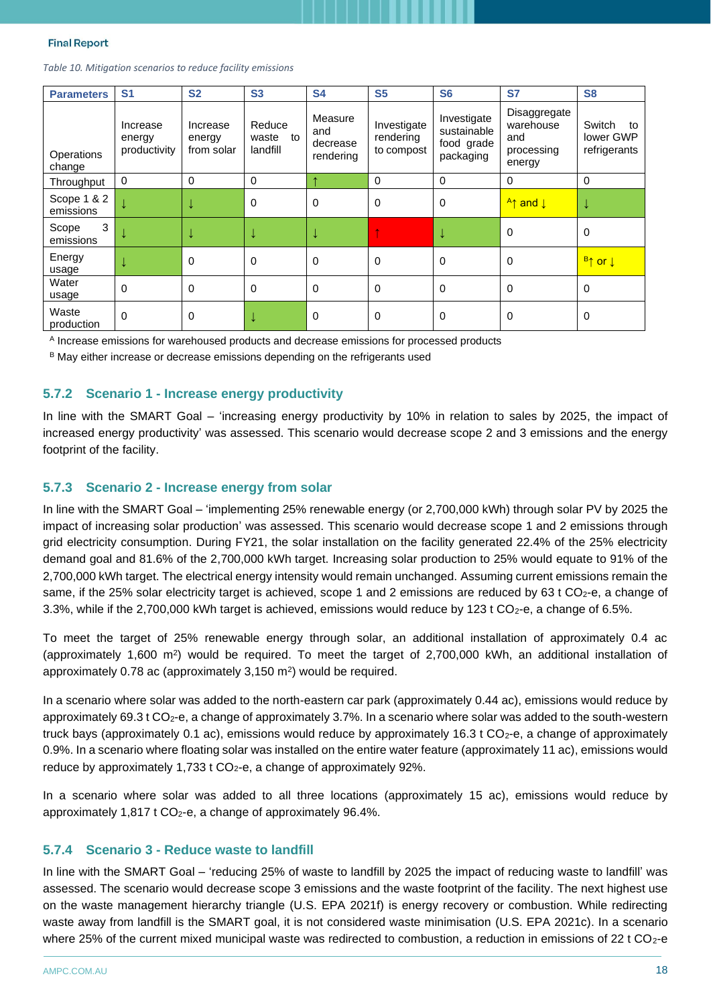<span id="page-17-0"></span>

| Table 10. Mitigation scenarios to reduce facility emissions |  |  |  |
|-------------------------------------------------------------|--|--|--|
|-------------------------------------------------------------|--|--|--|

| <b>Parameters</b>        | S <sub>1</sub>                     | <b>S2</b>                        | <b>S3</b>                         | <b>S4</b>                               | <b>S5</b>                              | S <sub>6</sub>                                        | <b>S7</b>                                                | <b>S8</b>                                 |
|--------------------------|------------------------------------|----------------------------------|-----------------------------------|-----------------------------------------|----------------------------------------|-------------------------------------------------------|----------------------------------------------------------|-------------------------------------------|
| Operations<br>change     | Increase<br>energy<br>productivity | Increase<br>energy<br>from solar | Reduce<br>waste<br>to<br>landfill | Measure<br>and<br>decrease<br>rendering | Investigate<br>rendering<br>to compost | Investigate<br>sustainable<br>food grade<br>packaging | Disaggregate<br>warehouse<br>and<br>processing<br>energy | Switch<br>to<br>lower GWP<br>refrigerants |
| Throughput               | 0                                  | $\mathbf 0$                      | 0                                 |                                         | $\mathbf 0$                            | 0                                                     | $\mathbf 0$                                              | $\mathbf 0$                               |
| Scope 1 & 2<br>emissions |                                    |                                  | 0                                 | $\mathbf 0$                             | $\mathbf 0$                            | $\mathbf 0$                                           | <mark>A↑ and ↓</mark>                                    | ↓                                         |
| 3<br>Scope<br>emissions  |                                    | Ψ                                |                                   |                                         |                                        |                                                       | $\overline{0}$                                           | $\mathbf 0$                               |
| Energy<br>usage          |                                    | $\mathbf 0$                      | 0                                 | $\Omega$                                | $\Omega$                               | $\Omega$                                              | $\mathbf 0$                                              | <mark>B↑ or ↓</mark>                      |
| Water<br>usage           | 0                                  | 0                                | 0                                 | $\Omega$                                | $\Omega$                               | $\Omega$                                              | $\mathbf 0$                                              | 0                                         |
| Waste<br>production      | 0                                  | 0                                |                                   | $\mathbf 0$                             | $\mathbf 0$                            | $\mathbf 0$                                           | $\mathbf 0$                                              | 0                                         |

<sup>A</sup> Increase emissions for warehoused products and decrease emissions for processed products

B May either increase or decrease emissions depending on the refrigerants used

#### **5.7.2 Scenario 1 - Increase energy productivity**

In line with the SMART Goal – 'increasing energy productivity by 10% in relation to sales by 2025, the impact of increased energy productivity' was assessed. This scenario would decrease scope 2 and 3 emissions and the energy footprint of the facility.

#### **5.7.3 Scenario 2 - Increase energy from solar**

In line with the SMART Goal – 'implementing 25% renewable energy (or 2,700,000 kWh) through solar PV by 2025 the impact of increasing solar production' was assessed. This scenario would decrease scope 1 and 2 emissions through grid electricity consumption. During FY21, the solar installation on the facility generated 22.4% of the 25% electricity demand goal and 81.6% of the 2,700,000 kWh target. Increasing solar production to 25% would equate to 91% of the 2,700,000 kWh target. The electrical energy intensity would remain unchanged. Assuming current emissions remain the same, if the 25% solar electricity target is achieved, scope 1 and 2 emissions are reduced by 63 t CO<sub>2</sub>-e, a change of 3.3%, while if the 2,700,000 kWh target is achieved, emissions would reduce by 123 t  $CO<sub>2</sub>$ -e, a change of 6.5%.

To meet the target of 25% renewable energy through solar, an additional installation of approximately 0.4 ac (approximately 1,600  $\text{m}^2$ ) would be required. To meet the target of 2,700,000 kWh, an additional installation of approximately  $0.78$  ac (approximately  $3,150$  m<sup>2</sup>) would be required.

In a scenario where solar was added to the north-eastern car park (approximately 0.44 ac), emissions would reduce by approximately 69.3 t  $CO<sub>2</sub>$ -e, a change of approximately 3.7%. In a scenario where solar was added to the south-western truck bays (approximately 0.1 ac), emissions would reduce by approximately 16.3 t CO<sub>2</sub>-e, a change of approximately 0.9%. In a scenario where floating solar was installed on the entire water feature (approximately 11 ac), emissions would reduce by approximately 1,733 t  $CO<sub>2</sub>$ -e, a change of approximately 92%.

In a scenario where solar was added to all three locations (approximately 15 ac), emissions would reduce by approximately  $1,817$  t CO<sub>2</sub>-e, a change of approximately 96.4%.

#### **5.7.4 Scenario 3 - Reduce waste to landfill**

In line with the SMART Goal – 'reducing 25% of waste to landfill by 2025 the impact of reducing waste to landfill' was assessed. The scenario would decrease scope 3 emissions and the waste footprint of the facility. The next highest use on the waste management hierarchy triangle (U.S. EPA 2021f) is energy recovery or combustion. While redirecting waste away from landfill is the SMART goal, it is not considered waste minimisation (U.S. EPA 2021c). In a scenario where 25% of the current mixed municipal waste was redirected to combustion, a reduction in emissions of 22 t CO<sub>2</sub>-e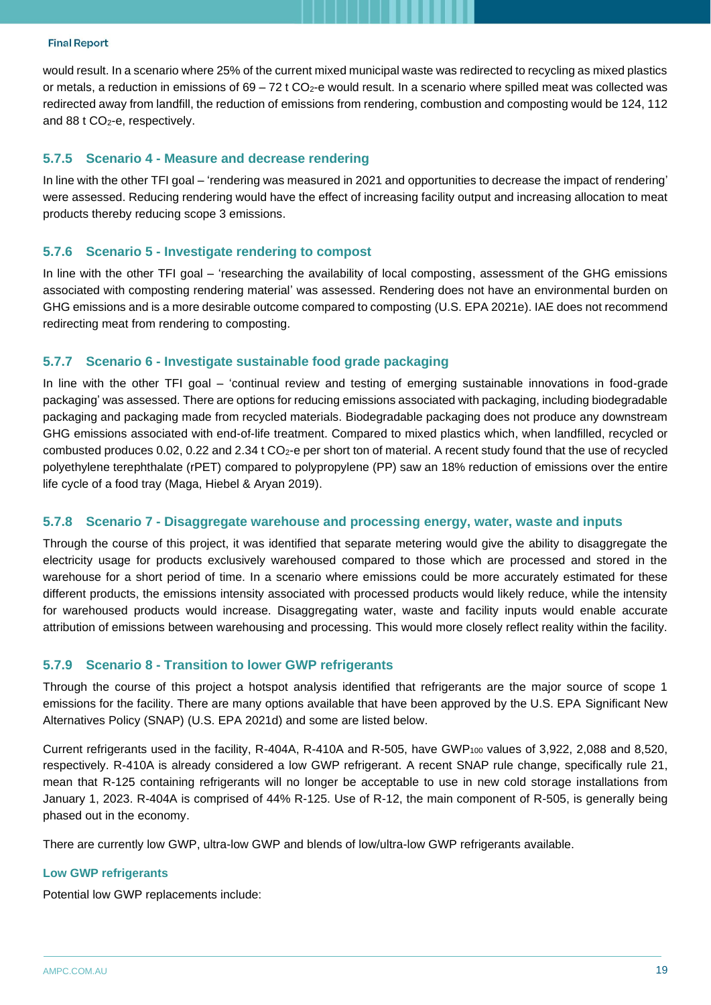would result. In a scenario where 25% of the current mixed municipal waste was redirected to recycling as mixed plastics or metals, a reduction in emissions of  $69 - 72$  t CO<sub>2</sub>-e would result. In a scenario where spilled meat was collected was redirected away from landfill, the reduction of emissions from rendering, combustion and composting would be 124, 112 and 88 t CO<sub>2</sub>-e, respectively.

#### **5.7.5 Scenario 4 - Measure and decrease rendering**

In line with the other TFI goal – 'rendering was measured in 2021 and opportunities to decrease the impact of rendering' were assessed. Reducing rendering would have the effect of increasing facility output and increasing allocation to meat products thereby reducing scope 3 emissions.

#### **5.7.6 Scenario 5 - Investigate rendering to compost**

In line with the other TFI goal – 'researching the availability of local composting, assessment of the GHG emissions associated with composting rendering material' was assessed. Rendering does not have an environmental burden on GHG emissions and is a more desirable outcome compared to composting (U.S. EPA 2021e). IAE does not recommend redirecting meat from rendering to composting.

#### **5.7.7 Scenario 6 - Investigate sustainable food grade packaging**

In line with the other TFI goal – 'continual review and testing of emerging sustainable innovations in food-grade packaging' was assessed. There are options for reducing emissions associated with packaging, including biodegradable packaging and packaging made from recycled materials. Biodegradable packaging does not produce any downstream GHG emissions associated with end-of-life treatment. Compared to mixed plastics which, when landfilled, recycled or combusted produces 0.02, 0.22 and 2.34 t CO<sub>2</sub>-e per short ton of material. A recent study found that the use of recycled polyethylene terephthalate (rPET) compared to polypropylene (PP) saw an 18% reduction of emissions over the entire life cycle of a food tray (Maga, Hiebel & Aryan 2019).

#### **5.7.8 Scenario 7 - Disaggregate warehouse and processing energy, water, waste and inputs**

Through the course of this project, it was identified that separate metering would give the ability to disaggregate the electricity usage for products exclusively warehoused compared to those which are processed and stored in the warehouse for a short period of time. In a scenario where emissions could be more accurately estimated for these different products, the emissions intensity associated with processed products would likely reduce, while the intensity for warehoused products would increase. Disaggregating water, waste and facility inputs would enable accurate attribution of emissions between warehousing and processing. This would more closely reflect reality within the facility.

#### **5.7.9 Scenario 8 - Transition to lower GWP refrigerants**

Through the course of this project a hotspot analysis identified that refrigerants are the major source of scope 1 emissions for the facility. There are many options available that have been approved by the U.S. EPA Significant New Alternatives Policy (SNAP) (U.S. EPA 2021d) and some are listed below.

Current refrigerants used in the facility, R-404A, R-410A and R-505, have GWP<sup>100</sup> values of 3,922, 2,088 and 8,520, respectively. R-410A is already considered a low GWP refrigerant. A recent SNAP rule change, specifically rule 21, mean that R-125 containing refrigerants will no longer be acceptable to use in new cold storage installations from January 1, 2023. R-404A is comprised of 44% R-125. Use of R-12, the main component of R-505, is generally being phased out in the economy.

There are currently low GWP, ultra-low GWP and blends of low/ultra-low GWP refrigerants available.

#### **Low GWP refrigerants**

Potential low GWP replacements include: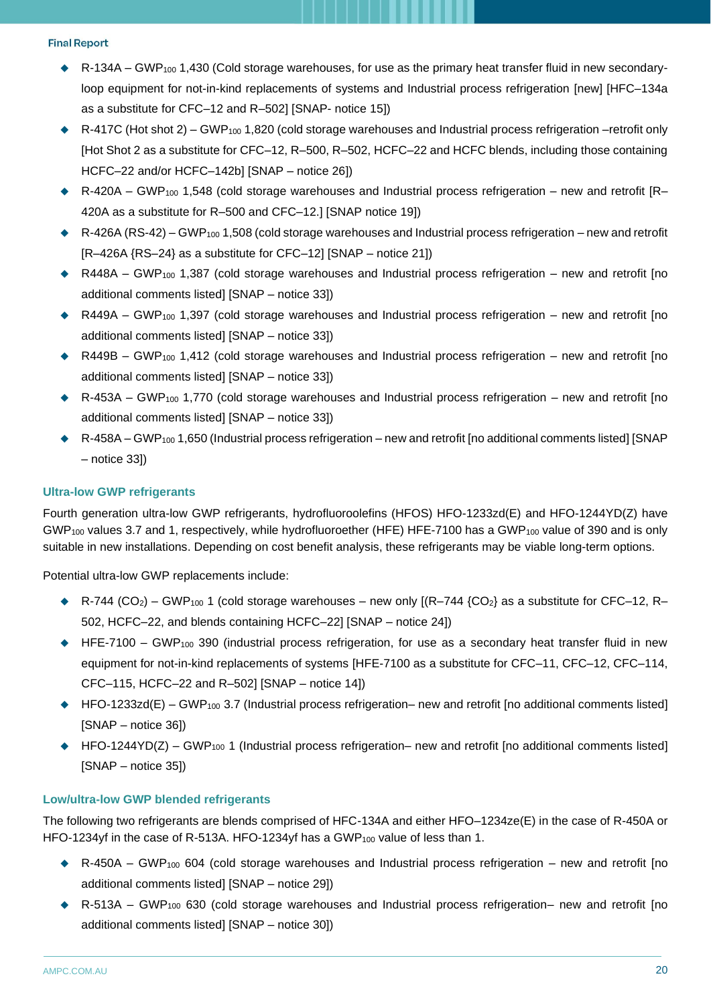- ◆ R-134A GWP<sub>100</sub> 1,430 (Cold storage warehouses, for use as the primary heat transfer fluid in new secondaryloop equipment for not-in-kind replacements of systems and Industrial process refrigeration [new] [HFC–134a] as a substitute for CFC–12 and R–502] [SNAP- notice 15])
- R-417C (Hot shot 2) GWP<sub>100</sub> 1,820 (cold storage warehouses and Industrial process refrigeration –retrofit only [Hot Shot 2 as a substitute for CFC–12, R–500, R–502, HCFC–22 and HCFC blends, including those containing HCFC–22 and/or HCFC–142b] [SNAP – notice 26])
- $R-420A GWP_{100}$  1,548 (cold storage warehouses and Industrial process refrigeration new and retrofit [R– 420A as a substitute for R–500 and CFC–12.] [SNAP notice 19])
- ◆ R-426A (RS-42) GWP<sup>100</sup> 1,508 (cold storage warehouses and Industrial process refrigeration new and retrofit [R–426A {RS–24} as a substitute for CFC–12] [SNAP – notice 21])
- ◆ R448A GWP<sub>100</sub> 1,387 (cold storage warehouses and Industrial process refrigeration new and retrofit [no additional comments listed] [SNAP – notice 33])
- ◆ R449A GWP<sub>100</sub> 1,397 (cold storage warehouses and Industrial process refrigeration new and retrofit [no additional comments listed] [SNAP – notice 33])
- ◆ R449B GWP<sub>100</sub> 1,412 (cold storage warehouses and Industrial process refrigeration new and retrofit [no additional comments listed] [SNAP – notice 33])
- ◆ R-453A GWP<sub>100</sub> 1,770 (cold storage warehouses and Industrial process refrigeration new and retrofit [no additional comments listed] [SNAP – notice 33])
- $\bullet$  R-458A GWP<sub>100</sub> 1,650 (Industrial process refrigeration new and retrofit [no additional comments listed] [SNAP – notice 33])

#### **Ultra-low GWP refrigerants**

Fourth generation ultra-low GWP refrigerants, hydrofluoroolefins (HFOS) HFO-1233zd(E) and HFO-1244YD(Z) have GWP<sub>100</sub> values 3.7 and 1, respectively, while hydrofluoroether (HFE) HFE-7100 has a GWP<sub>100</sub> value of 390 and is only suitable in new installations. Depending on cost benefit analysis, these refrigerants may be viable long-term options.

Potential ultra-low GWP replacements include:

- $\blacklozenge$  R-744 (CO<sub>2</sub>) GWP<sub>100</sub> 1 (cold storage warehouses new only [(R–744 {CO<sub>2</sub>} as a substitute for CFC–12, R– 502, HCFC–22, and blends containing HCFC–22] [SNAP – notice 24])
- ◆ HFE-7100 GWP<sub>100</sub> 390 (industrial process refrigeration, for use as a secondary heat transfer fluid in new equipment for not-in-kind replacements of systems [HFE-7100 as a substitute for CFC–11, CFC–12, CFC–114, CFC–115, HCFC–22 and R–502] [SNAP – notice 14])
- ◆ HFO-1233zd(E) GWP<sub>100</sub> 3.7 (Industrial process refrigeration– new and retrofit [no additional comments listed] [SNAP – notice 36])
- ◆ HFO-1244YD(Z) GWP<sub>100</sub> 1 (Industrial process refrigeration– new and retrofit [no additional comments listed] [SNAP – notice 35])

#### **Low/ultra-low GWP blended refrigerants**

The following two refrigerants are blends comprised of HFC-134A and either HFO–1234ze(E) in the case of R-450A or HFO-1234yf in the case of R-513A. HFO-1234yf has a GWP<sub>100</sub> value of less than 1.

- $\bullet$  R-450A GWP<sub>100</sub> 604 (cold storage warehouses and Industrial process refrigeration new and retrofit [no additional comments listed] [SNAP – notice 29])
- ◆ R-513A GWP<sub>100</sub> 630 (cold storage warehouses and Industrial process refrigeration– new and retrofit [no additional comments listed] [SNAP – notice 30])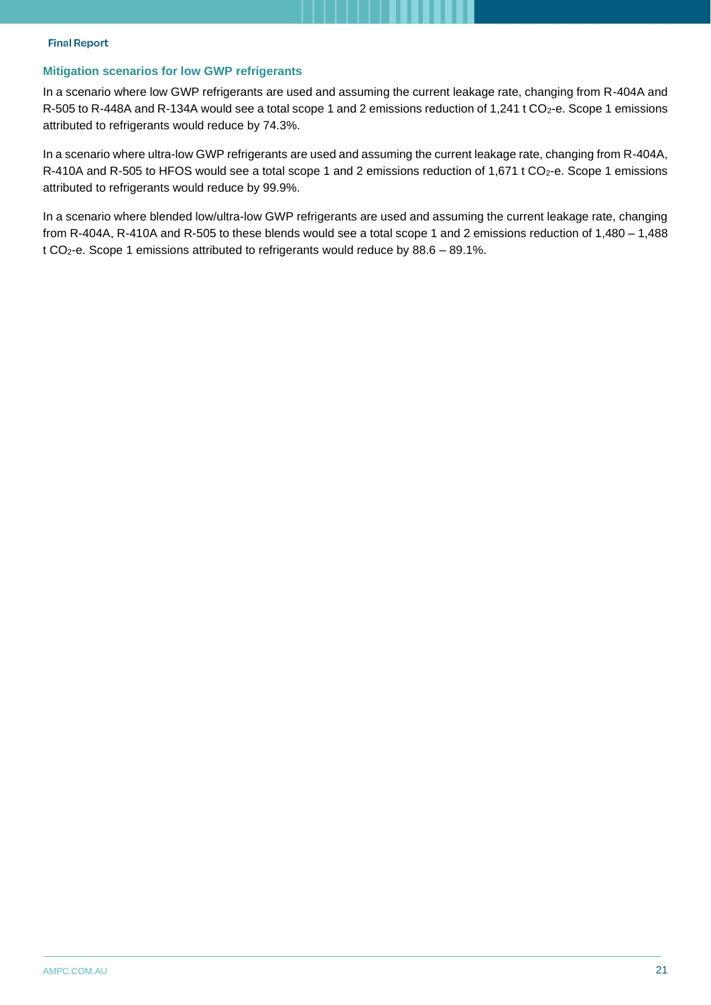#### **Mitigation scenarios for low GWP refrigerants**

In a scenario where low GWP refrigerants are used and assuming the current leakage rate, changing from R-404A and R-505 to R-448A and R-134A would see a total scope 1 and 2 emissions reduction of 1,241 t CO<sub>2</sub>-e. Scope 1 emissions attributed to refrigerants would reduce by 74.3%.

In a scenario where ultra-low GWP refrigerants are used and assuming the current leakage rate, changing from R-404A, R-410A and R-505 to HFOS would see a total scope 1 and 2 emissions reduction of 1,671 t CO<sub>2</sub>-e. Scope 1 emissions attributed to refrigerants would reduce by 99.9%.

In a scenario where blended low/ultra-low GWP refrigerants are used and assuming the current leakage rate, changing from R-404A, R-410A and R-505 to these blends would see a total scope 1 and 2 emissions reduction of 1,480 – 1,488 t CO2-e. Scope 1 emissions attributed to refrigerants would reduce by 88.6 – 89.1%.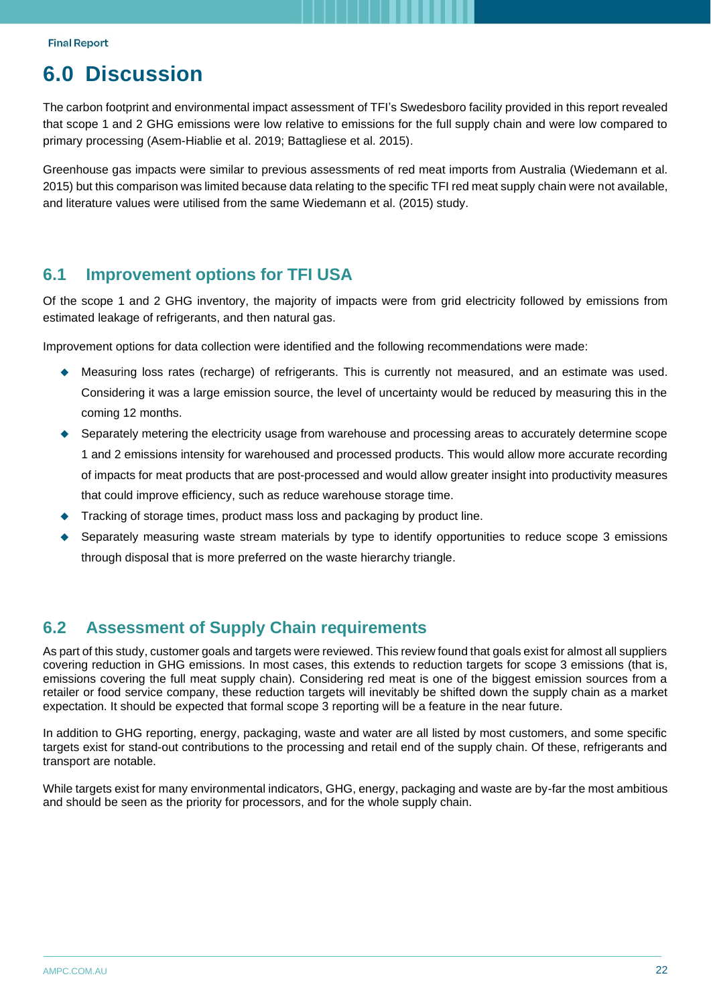# <span id="page-21-0"></span>**6.0 Discussion**

The carbon footprint and environmental impact assessment of TFI's Swedesboro facility provided in this report revealed that scope 1 and 2 GHG emissions were low relative to emissions for the full supply chain and were low compared to primary processing (Asem-Hiablie et al. 2019; Battagliese et al. 2015).

Greenhouse gas impacts were similar to previous assessments of red meat imports from Australia (Wiedemann et al. 2015) but this comparison was limited because data relating to the specific TFI red meat supply chain were not available, and literature values were utilised from the same Wiedemann et al. (2015) study.

### <span id="page-21-1"></span>**6.1 Improvement options for TFI USA**

Of the scope 1 and 2 GHG inventory, the majority of impacts were from grid electricity followed by emissions from estimated leakage of refrigerants, and then natural gas.

Improvement options for data collection were identified and the following recommendations were made:

- Measuring loss rates (recharge) of refrigerants. This is currently not measured, and an estimate was used. Considering it was a large emission source, the level of uncertainty would be reduced by measuring this in the coming 12 months.
- Separately metering the electricity usage from warehouse and processing areas to accurately determine scope 1 and 2 emissions intensity for warehoused and processed products. This would allow more accurate recording of impacts for meat products that are post-processed and would allow greater insight into productivity measures that could improve efficiency, such as reduce warehouse storage time.
- Tracking of storage times, product mass loss and packaging by product line.
- Separately measuring waste stream materials by type to identify opportunities to reduce scope 3 emissions through disposal that is more preferred on the waste hierarchy triangle.

## <span id="page-21-2"></span>**6.2 Assessment of Supply Chain requirements**

As part of this study, customer goals and targets were reviewed. This review found that goals exist for almost all suppliers covering reduction in GHG emissions. In most cases, this extends to reduction targets for scope 3 emissions (that is, emissions covering the full meat supply chain). Considering red meat is one of the biggest emission sources from a retailer or food service company, these reduction targets will inevitably be shifted down the supply chain as a market expectation. It should be expected that formal scope 3 reporting will be a feature in the near future.

In addition to GHG reporting, energy, packaging, waste and water are all listed by most customers, and some specific targets exist for stand-out contributions to the processing and retail end of the supply chain. Of these, refrigerants and transport are notable.

While targets exist for many environmental indicators, GHG, energy, packaging and waste are by-far the most ambitious and should be seen as the priority for processors, and for the whole supply chain.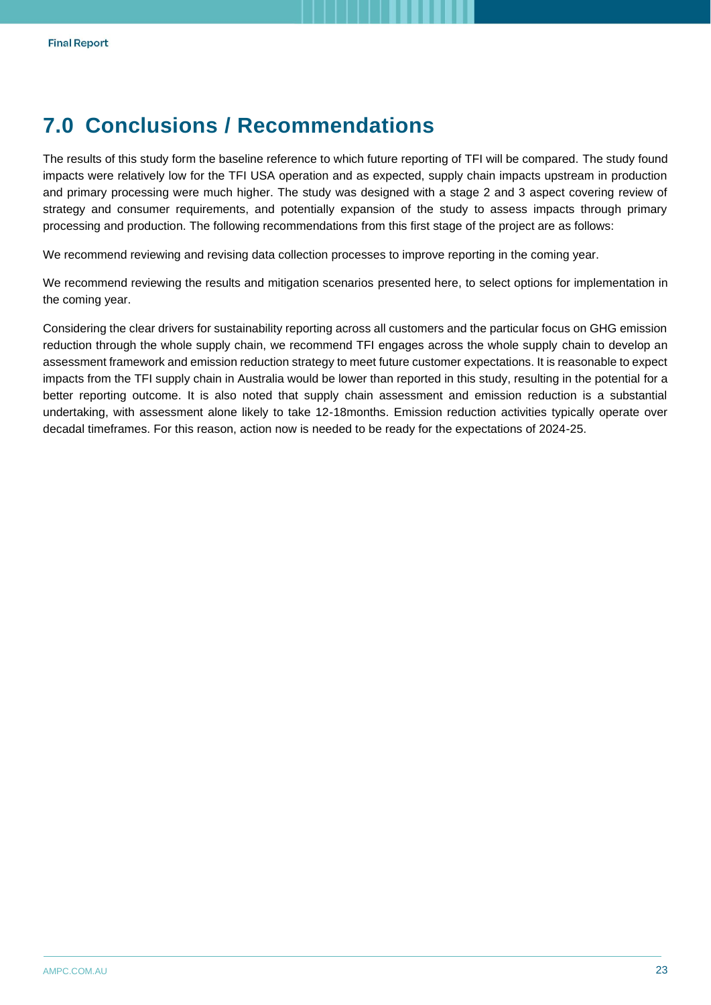# <span id="page-22-0"></span>**7.0 Conclusions / Recommendations**

The results of this study form the baseline reference to which future reporting of TFI will be compared. The study found impacts were relatively low for the TFI USA operation and as expected, supply chain impacts upstream in production and primary processing were much higher. The study was designed with a stage 2 and 3 aspect covering review of strategy and consumer requirements, and potentially expansion of the study to assess impacts through primary processing and production. The following recommendations from this first stage of the project are as follows:

We recommend reviewing and revising data collection processes to improve reporting in the coming year.

We recommend reviewing the results and mitigation scenarios presented here, to select options for implementation in the coming year.

Considering the clear drivers for sustainability reporting across all customers and the particular focus on GHG emission reduction through the whole supply chain, we recommend TFI engages across the whole supply chain to develop an assessment framework and emission reduction strategy to meet future customer expectations. It is reasonable to expect impacts from the TFI supply chain in Australia would be lower than reported in this study, resulting in the potential for a better reporting outcome. It is also noted that supply chain assessment and emission reduction is a substantial undertaking, with assessment alone likely to take 12-18months. Emission reduction activities typically operate over decadal timeframes. For this reason, action now is needed to be ready for the expectations of 2024-25.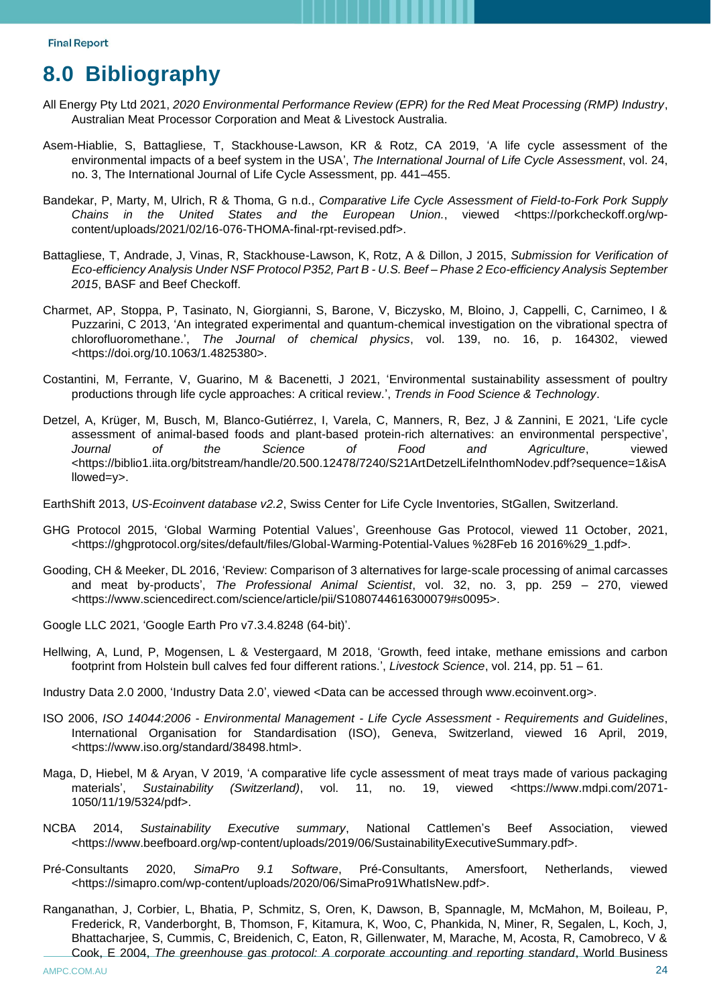# <span id="page-23-0"></span>**8.0 Bibliography**

- All Energy Pty Ltd 2021, *2020 Environmental Performance Review (EPR) for the Red Meat Processing (RMP) Industry*, Australian Meat Processor Corporation and Meat & Livestock Australia.
- Asem-Hiablie, S, Battagliese, T, Stackhouse-Lawson, KR & Rotz, CA 2019, 'A life cycle assessment of the environmental impacts of a beef system in the USA', *The International Journal of Life Cycle Assessment*, vol. 24, no. 3, The International Journal of Life Cycle Assessment, pp. 441–455.
- Bandekar, P, Marty, M, Ulrich, R & Thoma, G n.d., *Comparative Life Cycle Assessment of Field-to-Fork Pork Supply Chains in the United States and the European Union.*, viewed <https://porkcheckoff.org/wpcontent/uploads/2021/02/16-076-THOMA-final-rpt-revised.pdf>.
- Battagliese, T, Andrade, J, Vinas, R, Stackhouse-Lawson, K, Rotz, A & Dillon, J 2015, *Submission for Verification of Eco-efficiency Analysis Under NSF Protocol P352, Part B - U.S. Beef – Phase 2 Eco-efficiency Analysis September 2015*, BASF and Beef Checkoff.
- Charmet, AP, Stoppa, P, Tasinato, N, Giorgianni, S, Barone, V, Biczysko, M, Bloino, J, Cappelli, C, Carnimeo, I & Puzzarini, C 2013, 'An integrated experimental and quantum-chemical investigation on the vibrational spectra of chlorofluoromethane.', *The Journal of chemical physics*, vol. 139, no. 16, p. 164302, viewed <https://doi.org/10.1063/1.4825380>.
- Costantini, M, Ferrante, V, Guarino, M & Bacenetti, J 2021, 'Environmental sustainability assessment of poultry productions through life cycle approaches: A critical review.', *Trends in Food Science & Technology*.
- Detzel, A, Krüger, M, Busch, M, Blanco-Gutiérrez, I, Varela, C, Manners, R, Bez, J & Zannini, E 2021, 'Life cycle assessment of animal-based foods and plant-based protein-rich alternatives: an environmental perspective', *Journal of the Science of Food and Agriculture*, viewed <https://biblio1.iita.org/bitstream/handle/20.500.12478/7240/S21ArtDetzelLifeInthomNodev.pdf?sequence=1&isA llowed=y>.

EarthShift 2013, *US-Ecoinvent database v2.2*, Swiss Center for Life Cycle Inventories, StGallen, Switzerland.

- GHG Protocol 2015, 'Global Warming Potential Values', Greenhouse Gas Protocol, viewed 11 October, 2021, <https://ghgprotocol.org/sites/default/files/Global-Warming-Potential-Values %28Feb 16 2016%29\_1.pdf>.
- Gooding, CH & Meeker, DL 2016, 'Review: Comparison of 3 alternatives for large-scale processing of animal carcasses and meat by-products', *The Professional Animal Scientist*, vol. 32, no. 3, pp. 259 – 270, viewed <https://www.sciencedirect.com/science/article/pii/S1080744616300079#s0095>.
- Google LLC 2021, 'Google Earth Pro v7.3.4.8248 (64-bit)'.
- Hellwing, A, Lund, P, Mogensen, L & Vestergaard, M 2018, 'Growth, feed intake, methane emissions and carbon footprint from Holstein bull calves fed four different rations.', *Livestock Science*, vol. 214, pp. 51 – 61.
- Industry Data 2.0 2000, 'Industry Data 2.0', viewed <Data can be accessed through www.ecoinvent.org>.
- ISO 2006, *ISO 14044:2006 - Environmental Management - Life Cycle Assessment - Requirements and Guidelines*, International Organisation for Standardisation (ISO), Geneva, Switzerland, viewed 16 April, 2019, <https://www.iso.org/standard/38498.html>.
- Maga, D, Hiebel, M & Aryan, V 2019, 'A comparative life cycle assessment of meat trays made of various packaging materials', *Sustainability (Switzerland)*, vol. 11, no. 19, viewed <https://www.mdpi.com/2071- 1050/11/19/5324/pdf>.
- NCBA 2014, *Sustainability Executive summary*, National Cattlemen's Beef Association, viewed <https://www.beefboard.org/wp-content/uploads/2019/06/SustainabilityExecutiveSummary.pdf>.
- Pré-Consultants 2020, *SimaPro 9.1 Software*, Pré-Consultants, Amersfoort, Netherlands, viewed <https://simapro.com/wp-content/uploads/2020/06/SimaPro91WhatIsNew.pdf>.
- Ranganathan, J, Corbier, L, Bhatia, P, Schmitz, S, Oren, K, Dawson, B, Spannagle, M, McMahon, M, Boileau, P, Frederick, R, Vanderborght, B, Thomson, F, Kitamura, K, Woo, C, Phankida, N, Miner, R, Segalen, L, Koch, J, Bhattacharjee, S, Cummis, C, Breidenich, C, Eaton, R, Gillenwater, M, Marache, M, Acosta, R, Camobreco, V & Cook, E 2004, *The greenhouse gas protocol: A corporate accounting and reporting standard*, World Business